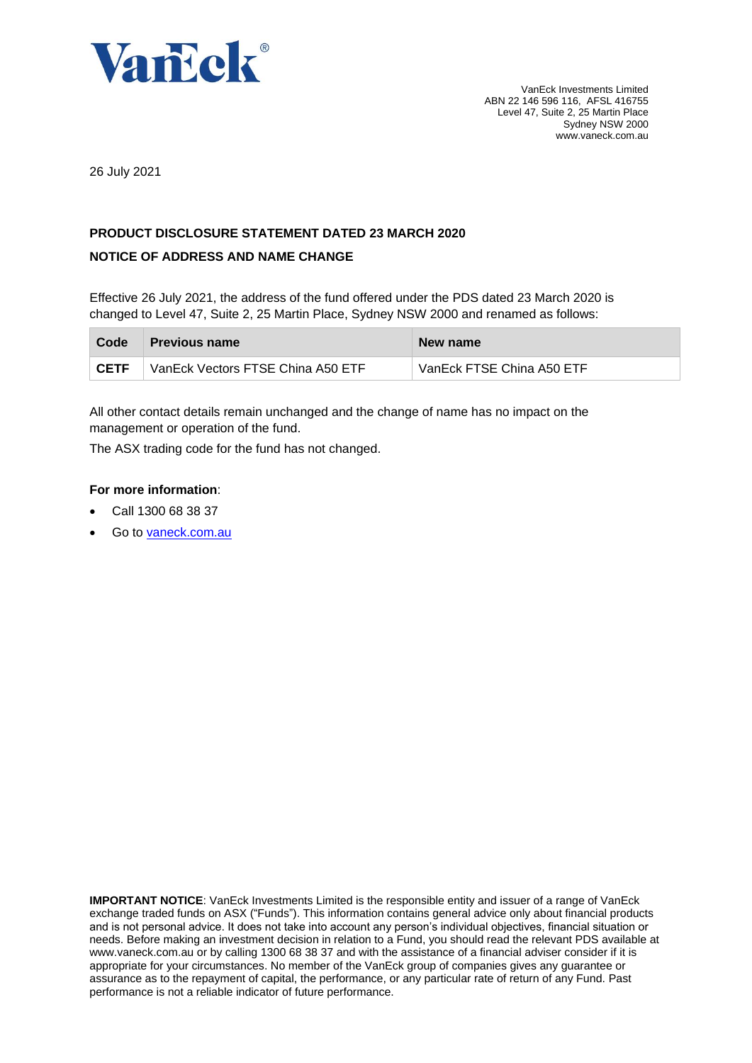

26 July 2021

# **PRODUCT DISCLOSURE STATEMENT DATED 23 MARCH 2020**

# **NOTICE OF ADDRESS AND NAME CHANGE**

Effective 26 July 2021, the address of the fund offered under the PDS dated 23 March 2020 is changed to Level 47, Suite 2, 25 Martin Place, Sydney NSW 2000 and renamed as follows:

| Code        | <b>Previous name</b>              | New name                  |
|-------------|-----------------------------------|---------------------------|
| <b>CETF</b> | VanEck Vectors FTSE China A50 ETF | VanEck FTSE China A50 ETF |

All other contact details remain unchanged and the change of name has no impact on the management or operation of the fund.

The ASX trading code for the fund has not changed.

# **For more information**:

- Call 1300 68 38 37
- Go to [vaneck.com.au](http://www.marketvectors-australia.com/)

**IMPORTANT NOTICE**: VanEck Investments Limited is the responsible entity and issuer of a range of VanEck exchange traded funds on ASX ("Funds"). This information contains general advice only about financial products and is not personal advice. It does not take into account any person's individual objectives, financial situation or needs. Before making an investment decision in relation to a Fund, you should read the relevant PDS available at [www.vaneck.com.au](http://www.vaneck.com.au/) or by calling 1300 68 38 37 and with the assistance of a financial adviser consider if it is appropriate for your circumstances. No member of the VanEck group of companies gives any guarantee or assurance as to the repayment of capital, the performance, or any particular rate of return of any Fund. Past performance is not a reliable indicator of future performance.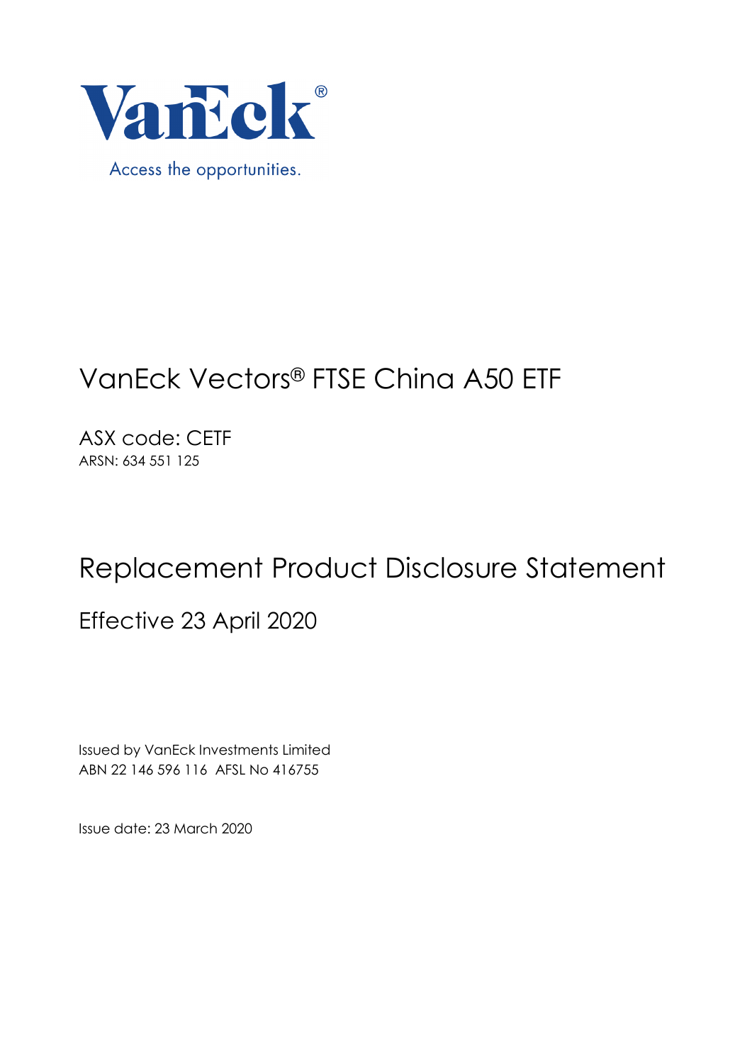

# VanEck Vectors® FTSE China A50 ETF

ASX code: CETF ARSN: 634 551 125

# Replacement Product Disclosure Statement

Effective 23 April 2020

Issued by VanEck Investments Limited ABN 22 146 596 116 AFSL No 416755

Issue date: 23 March 2020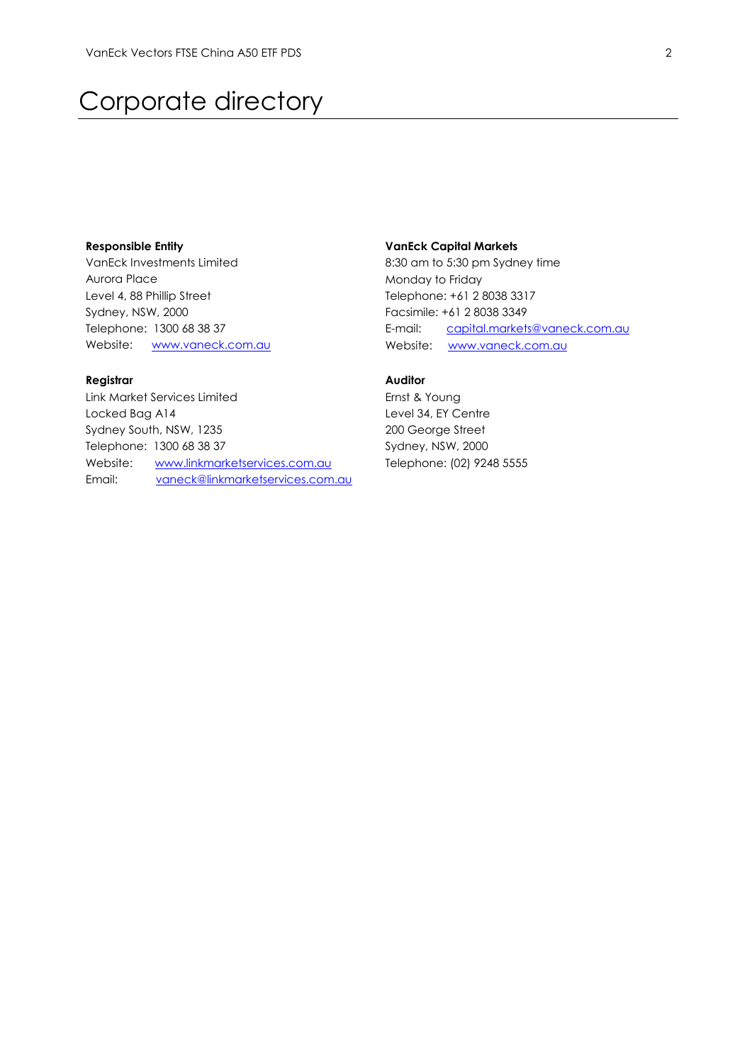# Corporate directory

#### **Responsible Entity**

VanEck Investments Limited Aurora Place Level 4, 88 Phillip Street Sydney, NSW, 2000 Telephone: 1300 68 38 37 Website: [www.vaneck.com.au](http://www.vaneck.com.au/)

## **Registrar**

Link Market Services Limited Locked Bag A14 Sydney South, NSW, 1235 Telephone: 1300 68 38 37 Website: [www.linkmarketservices.com.au](http://www.linkmarketservices.com.au/) Email: [vaneck@linkmarketservices.com.au](mailto:vaneck@linkmarketservices.com.au)

#### **VanEck Capital Markets**

8:30 am to 5:30 pm Sydney time Monday to Friday Telephone: +61 2 8038 3317 Facsimile: +61 2 8038 3349 E-mail: [capital.markets@vaneck.com.au](mailto:capital.markets@vaneck.com.au)  Website: www.vaneck.com.au

# **Auditor**

Ernst & Young Level 34, EY Centre 200 George Street Sydney, NSW, 2000 Telephone: (02) 9248 5555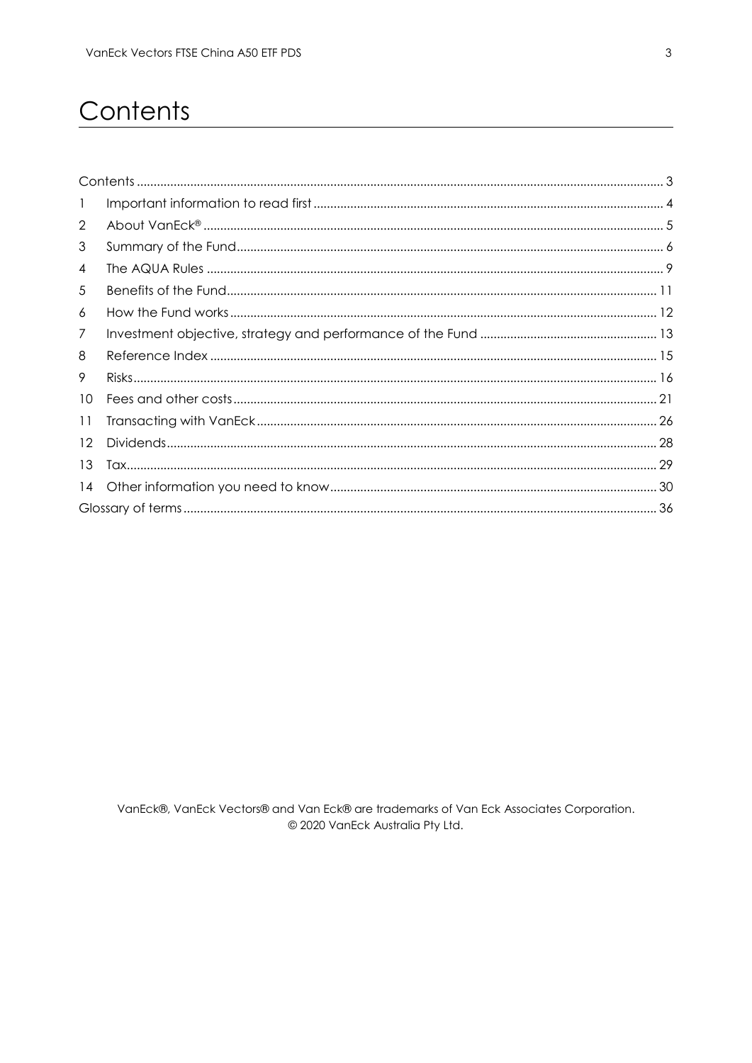# <span id="page-3-0"></span>Contents

| $\mathbf{1}$      |  |
|-------------------|--|
| $\overline{2}$    |  |
| 3                 |  |
| 4                 |  |
| 5                 |  |
| 6                 |  |
| 7                 |  |
| 8                 |  |
| 9                 |  |
| 10                |  |
| 11                |  |
| $12 \overline{ }$ |  |
| 13                |  |
| 14                |  |
|                   |  |
|                   |  |

VanEck®, VanEck Vectors® and Van Eck® are trademarks of Van Eck Associates Corporation. © 2020 VanEck Australia Pty Ltd.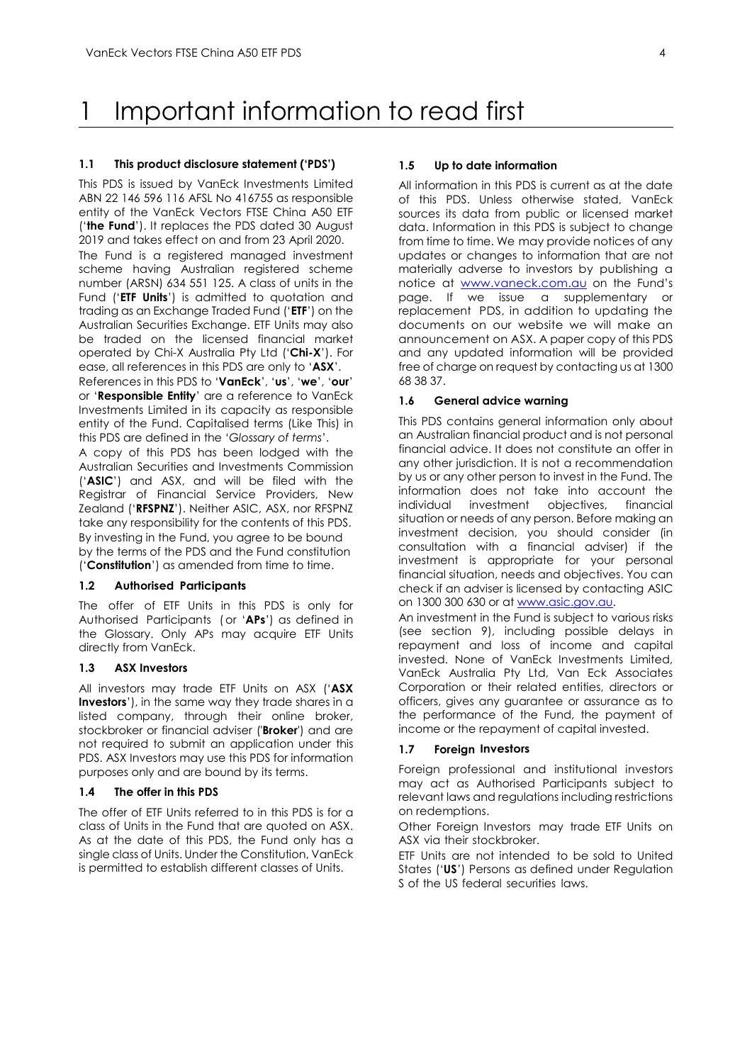# <span id="page-4-0"></span>1 Important information to read first

#### **1.1 This product disclosure statement ('PDS')**

This PDS is issued by VanEck Investments Limited ABN 22 146 596 116 AFSL No 416755 as responsible entity of the VanEck Vectors FTSE China A50 ETF ('**the Fund**'). It replaces the PDS dated 30 August 2019 and takes effect on and from 23 April 2020.

The Fund is a registered managed investment scheme having Australian registered scheme number (ARSN) 634 551 125. A class of units in the Fund ('**ETF Units**') is admitted to quotation and trading as an Exchange Traded Fund ('**ETF**') on the Australian Securities Exchange. ETF Units may also be traded on the licensed financial market operated by Chi-X Australia Pty Ltd ('**Chi-X**'). For ease, all references in this PDS are only to '**ASX**'.

References in this PDS to '**VanEck**', '**us**', '**we**', '**our**' or '**Responsible Entity**' are a reference to VanEck Investments Limited in its capacity as responsible entity of the Fund. Capitalised terms (Like This) in this PDS are defined in the '*Glossary of terms*'.

A copy of this PDS has been lodged with the Australian Securities and Investments Commission ('**ASIC**') and ASX, and will be filed with the Registrar of Financial Service Providers, New Zealand ('**RFSPNZ**'). Neither ASIC, ASX, nor RFSPNZ take any responsibility for the contents of this PDS. By investing in the Fund, you agree to be bound by the terms of the PDS and the Fund constitution ('**Constitution**') as amended from time to time.

### **1.2 Authorised Participants**

The offer of ETF Units in this PDS is only for Authorised Participants ( or '**APs**') as defined in the Glossary. Only APs may acquire ETF Units directly from VanEck.

#### **1.3 ASX Investors**

All investors may trade ETF Units on ASX ('**ASX Investors**'), in the same way they trade shares in a listed company, through their online broker, stockbroker or financial adviser ('**Broker**') and are not required to submit an application under this PDS. ASX Investors may use this PDS for information purposes only and are bound by its terms.

#### **1.4 The offer in this PDS**

The offer of ETF Units referred to in this PDS is for a class of Units in the Fund that are quoted on ASX. As at the date of this PDS, the Fund only has a single class of Units. Under the Constitution, VanEck is permitted to establish different classes of Units.

#### **1.5 Up to date information**

All information in this PDS is current as at the date of this PDS. Unless otherwise stated, VanEck sources its data from public or licensed market data. Information in this PDS is subject to change from time to time. We may provide notices of any updates or changes to information that are not materially adverse to investors by publishing a notice at [www.vaneck.com.au](http://www.vaneck.com.au/) on the Fund's page. If we issue a supplementary or replacement PDS, in addition to updating the documents on our website we will make an announcement on ASX. A paper copy of this PDS and any updated information will be provided free of charge on request by contacting us at 1300 68 38 37.

#### **1.6 General advice warning**

This PDS contains general information only about an Australian financial product and is not personal financial advice. It does not constitute an offer in any other jurisdiction. It is not a recommendation by us or any other person to invest in the Fund. The information does not take into account the individual investment objectives, financial situation or needs of any person. Before making an investment decision, you should consider (in consultation with a financial adviser) if the investment is appropriate for your personal financial situation, needs and objectives. You can check if an adviser is licensed by contacting ASIC on 1300 300 630 or at [www.asic.gov.au.](http://www.asic.gov.au/)

An investment in the Fund is subject to various risks (see section 9), including possible delays in repayment and loss of income and capital invested. None of VanEck Investments Limited, VanEck Australia Pty Ltd, Van Eck Associates Corporation or their related entities, directors or officers, gives any guarantee or assurance as to the performance of the Fund, the payment of income or the repayment of capital invested.

#### **1.7 Foreign Investors**

Foreign professional and institutional investors may act as Authorised Participants subject to relevant laws and regulations including restrictions on redemptions.

Other Foreign Investors may trade ETF Units on ASX via their stockbroker.

ETF Units are not intended to be sold to United States ('**US**') Persons as defined under Regulation S of the US federal securities laws.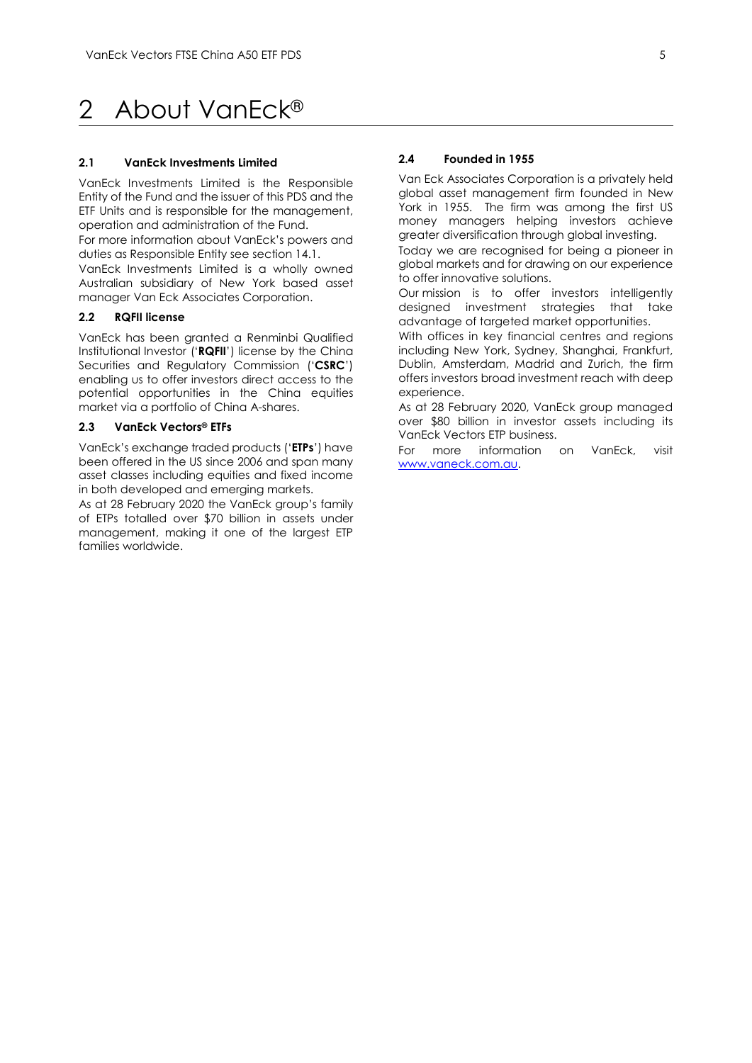# <span id="page-5-0"></span>2 About VanEck®

#### **2.1 VanEck Investments Limited**

VanEck Investments Limited is the Responsible Entity of the Fund and the issuer of this PDS and the ETF Units and is responsible for the management, operation and administration of the Fund.

For more information about VanEck's powers and duties as Responsible Entity see section 14.1.

VanEck Investments Limited is a wholly owned Australian subsidiary of New York based asset manager Van Eck Associates Corporation.

#### **2.2 RQFII license**

VanEck has been granted a Renminbi Qualified Institutional Investor ('**RQFII**') license by the China Securities and Regulatory Commission ('**CSRC**') enabling us to offer investors direct access to the potential opportunities in the China equities market via a portfolio of China A-shares.

#### **2.3 VanEck Vectors® ETFs**

VanEck's exchange traded products ('**ETPs**') have been offered in the US since 2006 and span many asset classes including equities and fixed income in both developed and emerging markets.

As at 28 February 2020 the VanEck group's family of ETPs totalled over \$70 billion in assets under management, making it one of the largest ETP families worldwide.

#### **2.4 Founded in 1955**

Van Eck Associates Corporation is a privately held global asset management firm founded in New York in 1955. The firm was among the first US money managers helping investors achieve greater diversification through global investing.

Today we are recognised for being a pioneer in global markets and for drawing on our experience to offer innovative solutions.

Our mission is to offer investors intelligently designed investment strategies that take advantage of targeted market opportunities.

With offices in key financial centres and regions including New York, Sydney, Shanghai, Frankfurt, Dublin, Amsterdam, Madrid and Zurich, the firm offers investors broad investment reach with deep experience.

As at 28 February 2020, VanEck group managed over \$80 billion in investor assets including its VanEck Vectors ETP business.

For more information on VanEck, visit [www.vaneck.com.au.](http://www.vaneck.com.au/)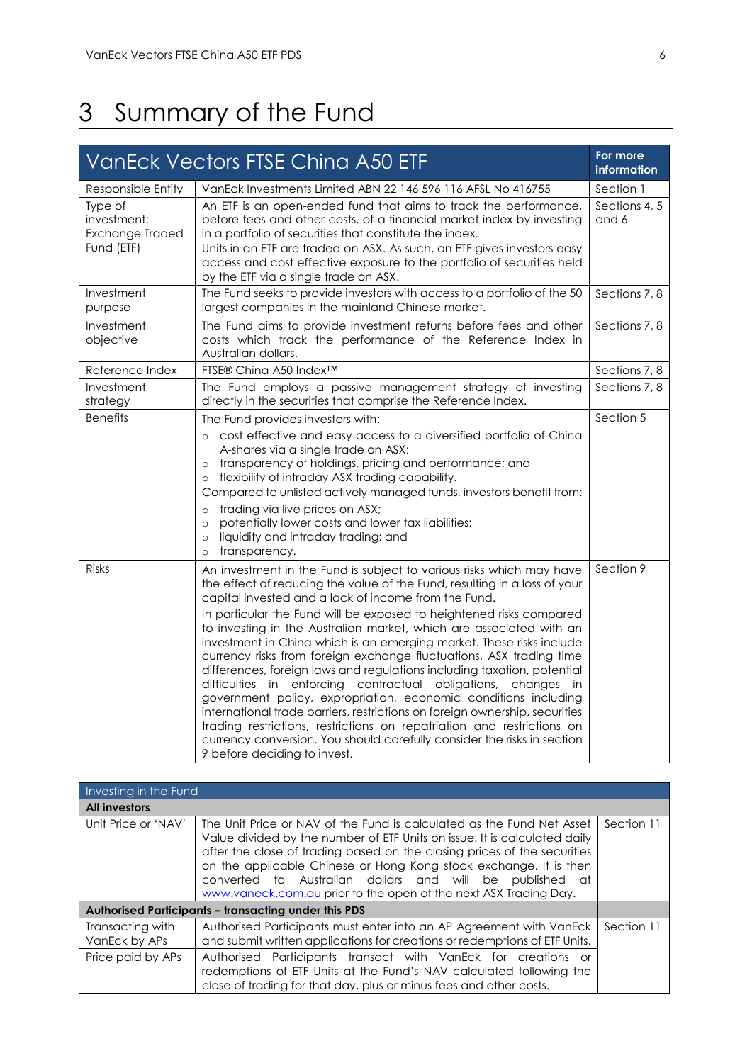# <span id="page-6-0"></span>3 Summary of the Fund

|                                                         | <b>VanEck Vectors FTSE Ching A50 ETF</b>                                                                                                                                                                                                                                                                                                                                                                                                                                                                                                                                                                                                                                                                                                                                                                                                                                                                                                                                                  | For more<br>information |
|---------------------------------------------------------|-------------------------------------------------------------------------------------------------------------------------------------------------------------------------------------------------------------------------------------------------------------------------------------------------------------------------------------------------------------------------------------------------------------------------------------------------------------------------------------------------------------------------------------------------------------------------------------------------------------------------------------------------------------------------------------------------------------------------------------------------------------------------------------------------------------------------------------------------------------------------------------------------------------------------------------------------------------------------------------------|-------------------------|
| Responsible Entity                                      | VanEck Investments Limited ABN 22 146 596 116 AFSL No 416755                                                                                                                                                                                                                                                                                                                                                                                                                                                                                                                                                                                                                                                                                                                                                                                                                                                                                                                              | Section 1               |
| Type of<br>investment:<br>Exchange Traded<br>Fund (ETF) | An ETF is an open-ended fund that aims to track the performance,<br>before fees and other costs, of a financial market index by investing<br>in a portfolio of securities that constitute the index.<br>Units in an ETF are traded on ASX. As such, an ETF gives investors easy<br>access and cost effective exposure to the portfolio of securities held<br>by the ETF via a single trade on ASX.                                                                                                                                                                                                                                                                                                                                                                                                                                                                                                                                                                                        | Sections 4, 5<br>and 6  |
| Investment<br>purpose                                   | The Fund seeks to provide investors with access to a portfolio of the 50<br>largest companies in the mainland Chinese market.                                                                                                                                                                                                                                                                                                                                                                                                                                                                                                                                                                                                                                                                                                                                                                                                                                                             | Sections 7, 8           |
| Investment<br>objective                                 | The Fund aims to provide investment returns before fees and other<br>costs which track the performance of the Reference Index in<br>Australian dollars.                                                                                                                                                                                                                                                                                                                                                                                                                                                                                                                                                                                                                                                                                                                                                                                                                                   | Sections 7, 8           |
| Reference Index                                         | FTSE® China A50 Index™                                                                                                                                                                                                                                                                                                                                                                                                                                                                                                                                                                                                                                                                                                                                                                                                                                                                                                                                                                    | Sections 7, 8           |
| Investment<br>strategy                                  | The Fund employs a passive management strategy of investing<br>directly in the securities that comprise the Reference Index.                                                                                                                                                                                                                                                                                                                                                                                                                                                                                                                                                                                                                                                                                                                                                                                                                                                              | Sections 7, 8           |
| <b>Benefits</b>                                         | The Fund provides investors with:<br>cost effective and easy access to a diversified portfolio of China<br>A-shares via a single trade on ASX;<br>transparency of holdings, pricing and performance; and<br>$\circ$<br>flexibility of intraday ASX trading capability.<br>$\circ$<br>Compared to unlisted actively managed funds, investors benefit from:<br>trading via live prices on ASX;<br>$\circ$<br>potentially lower costs and lower tax liabilities;<br>$\circ$<br>liquidity and intraday trading; and<br>$\circ$<br>transparency.<br>$\circ$                                                                                                                                                                                                                                                                                                                                                                                                                                    | Section 5               |
| <b>Risks</b>                                            | An investment in the Fund is subject to various risks which may have<br>the effect of reducing the value of the Fund, resulting in a loss of your<br>capital invested and a lack of income from the Fund.<br>In particular the Fund will be exposed to heightened risks compared<br>to investing in the Australian market, which are associated with an<br>investment in China which is an emerging market. These risks include<br>currency risks from foreign exchange fluctuations, ASX trading time<br>differences, foreign laws and regulations including taxation, potential<br>difficulties in enforcing contractual obligations, changes in<br>government policy, expropriation, economic conditions including<br>international trade barriers, restrictions on foreign ownership, securities<br>trading restrictions, restrictions on repatriation and restrictions on<br>currency conversion. You should carefully consider the risks in section<br>9 before deciding to invest. | Section 9               |

| Investing in the Fund             |                                                                                                                                                                                                                                                                                                                                                                                                                                          |            |
|-----------------------------------|------------------------------------------------------------------------------------------------------------------------------------------------------------------------------------------------------------------------------------------------------------------------------------------------------------------------------------------------------------------------------------------------------------------------------------------|------------|
| <b>All investors</b>              |                                                                                                                                                                                                                                                                                                                                                                                                                                          |            |
| Unit Price or 'NAV'               | The Unit Price or NAV of the Fund is calculated as the Fund Net Asset<br>Value divided by the number of ETF Units on issue. It is calculated daily<br>after the close of trading based on the closing prices of the securities<br>on the applicable Chinese or Hong Kong stock exchange. It is then<br>converted to Australian dollars and will be published<br>- at<br>www.vaneck.com.au prior to the open of the next ASX Trading Day. | Section 11 |
|                                   | <b>Authorised Participants - transacting under this PDS</b>                                                                                                                                                                                                                                                                                                                                                                              |            |
| Transacting with<br>VanEck by APs | Authorised Participants must enter into an AP Agreement with VanEck<br>and submit written applications for creations or redemptions of ETF Units.                                                                                                                                                                                                                                                                                        | Section 11 |
| Price paid by APs                 | Authorised Participants transact with VanEck for creations or<br>redemptions of ETF Units at the Fund's NAV calculated following the<br>close of trading for that day, plus or minus fees and other costs.                                                                                                                                                                                                                               |            |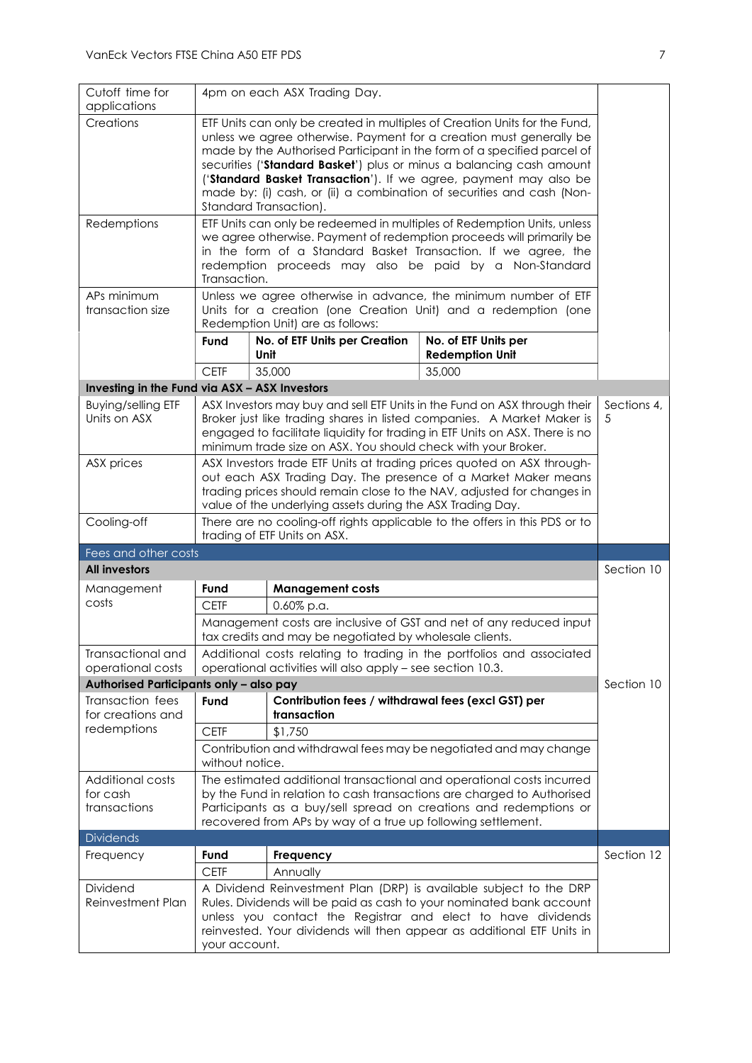| Cutoff time for<br>applications                                                                                                                                                                                                                                                                                                                                                                                                                                                           | 4pm on each ASX Trading Day.                                                                                                                                                                                                                                                                                             |                                                                   |                                                                                                                                                                                                                      |            |  |
|-------------------------------------------------------------------------------------------------------------------------------------------------------------------------------------------------------------------------------------------------------------------------------------------------------------------------------------------------------------------------------------------------------------------------------------------------------------------------------------------|--------------------------------------------------------------------------------------------------------------------------------------------------------------------------------------------------------------------------------------------------------------------------------------------------------------------------|-------------------------------------------------------------------|----------------------------------------------------------------------------------------------------------------------------------------------------------------------------------------------------------------------|------------|--|
| Creations<br>ETF Units can only be created in multiples of Creation Units for the Fund,<br>unless we agree otherwise. Payment for a creation must generally be<br>made by the Authorised Participant in the form of a specified parcel of<br>securities ('Standard Basket') plus or minus a balancing cash amount<br>('Standard Basket Transaction'). If we agree, payment may also be<br>made by: (i) cash, or (ii) a combination of securities and cash (Non-<br>Standard Transaction). |                                                                                                                                                                                                                                                                                                                          |                                                                   |                                                                                                                                                                                                                      |            |  |
| Redemptions                                                                                                                                                                                                                                                                                                                                                                                                                                                                               | ETF Units can only be redeemed in multiples of Redemption Units, unless<br>we agree otherwise. Payment of redemption proceeds will primarily be<br>in the form of a Standard Basket Transaction. If we agree, the<br>redemption proceeds may also be paid by a Non-Standard<br>Transaction.                              |                                                                   |                                                                                                                                                                                                                      |            |  |
| APs minimum<br>transaction size                                                                                                                                                                                                                                                                                                                                                                                                                                                           |                                                                                                                                                                                                                                                                                                                          | Redemption Unit) are as follows:                                  | Unless we agree otherwise in advance, the minimum number of ETF<br>Units for a creation (one Creation Unit) and a redemption (one                                                                                    |            |  |
|                                                                                                                                                                                                                                                                                                                                                                                                                                                                                           | Fund                                                                                                                                                                                                                                                                                                                     | No. of ETF Units per Creation<br>Unit                             | No. of ETF Units per<br><b>Redemption Unit</b>                                                                                                                                                                       |            |  |
|                                                                                                                                                                                                                                                                                                                                                                                                                                                                                           | <b>CETF</b>                                                                                                                                                                                                                                                                                                              | 35,000                                                            | 35,000                                                                                                                                                                                                               |            |  |
| Investing in the Fund via ASX - ASX Investors                                                                                                                                                                                                                                                                                                                                                                                                                                             |                                                                                                                                                                                                                                                                                                                          |                                                                   |                                                                                                                                                                                                                      |            |  |
| <b>Buying/selling ETF</b><br>Units on ASX                                                                                                                                                                                                                                                                                                                                                                                                                                                 | Sections 4,<br>ASX Investors may buy and sell ETF Units in the Fund on ASX through their<br>Broker just like trading shares in listed companies. A Market Maker is<br>5<br>engaged to facilitate liquidity for trading in ETF Units on ASX. There is no<br>minimum trade size on ASX. You should check with your Broker. |                                                                   |                                                                                                                                                                                                                      |            |  |
| ASX prices                                                                                                                                                                                                                                                                                                                                                                                                                                                                                | ASX Investors trade ETF Units at trading prices quoted on ASX through-<br>out each ASX Trading Day. The presence of a Market Maker means<br>trading prices should remain close to the NAV, adjusted for changes in<br>value of the underlying assets during the ASX Trading Day.                                         |                                                                   |                                                                                                                                                                                                                      |            |  |
|                                                                                                                                                                                                                                                                                                                                                                                                                                                                                           | There are no cooling-off rights applicable to the offers in this PDS or to<br>trading of ETF Units on ASX.                                                                                                                                                                                                               |                                                                   |                                                                                                                                                                                                                      |            |  |
| Cooling-off                                                                                                                                                                                                                                                                                                                                                                                                                                                                               |                                                                                                                                                                                                                                                                                                                          |                                                                   |                                                                                                                                                                                                                      |            |  |
| Fees and other costs                                                                                                                                                                                                                                                                                                                                                                                                                                                                      |                                                                                                                                                                                                                                                                                                                          |                                                                   |                                                                                                                                                                                                                      |            |  |
| <b>All investors</b>                                                                                                                                                                                                                                                                                                                                                                                                                                                                      |                                                                                                                                                                                                                                                                                                                          |                                                                   |                                                                                                                                                                                                                      | Section 10 |  |
| Management                                                                                                                                                                                                                                                                                                                                                                                                                                                                                | Fund                                                                                                                                                                                                                                                                                                                     | <b>Management costs</b>                                           |                                                                                                                                                                                                                      |            |  |
| costs                                                                                                                                                                                                                                                                                                                                                                                                                                                                                     | <b>CETF</b>                                                                                                                                                                                                                                                                                                              | $0.60\%$ p.a.                                                     |                                                                                                                                                                                                                      |            |  |
|                                                                                                                                                                                                                                                                                                                                                                                                                                                                                           |                                                                                                                                                                                                                                                                                                                          | tax credits and may be negotiated by wholesale clients.           | Management costs are inclusive of GST and net of any reduced input                                                                                                                                                   |            |  |
| Transactional and<br>operational costs                                                                                                                                                                                                                                                                                                                                                                                                                                                    |                                                                                                                                                                                                                                                                                                                          | operational activities will also apply - see section 10.3.        | Additional costs relating to trading in the portfolios and associated                                                                                                                                                |            |  |
| Authorised Participants only - also pay                                                                                                                                                                                                                                                                                                                                                                                                                                                   |                                                                                                                                                                                                                                                                                                                          |                                                                   |                                                                                                                                                                                                                      | Section 10 |  |
| Transaction fees<br>for creations and                                                                                                                                                                                                                                                                                                                                                                                                                                                     | Fund                                                                                                                                                                                                                                                                                                                     | Contribution fees / withdrawal fees (excl GST) per<br>transaction |                                                                                                                                                                                                                      |            |  |
| redemptions                                                                                                                                                                                                                                                                                                                                                                                                                                                                               | <b>CETF</b>                                                                                                                                                                                                                                                                                                              | \$1,750                                                           |                                                                                                                                                                                                                      |            |  |
|                                                                                                                                                                                                                                                                                                                                                                                                                                                                                           | without notice.                                                                                                                                                                                                                                                                                                          |                                                                   | Contribution and withdrawal fees may be negotiated and may change                                                                                                                                                    |            |  |
| <b>Additional costs</b><br>for cash<br>transactions                                                                                                                                                                                                                                                                                                                                                                                                                                       |                                                                                                                                                                                                                                                                                                                          | recovered from APs by way of a true up following settlement.      | The estimated additional transactional and operational costs incurred<br>by the Fund in relation to cash transactions are charged to Authorised<br>Participants as a buy/sell spread on creations and redemptions or |            |  |
| <b>Dividends</b>                                                                                                                                                                                                                                                                                                                                                                                                                                                                          |                                                                                                                                                                                                                                                                                                                          |                                                                   |                                                                                                                                                                                                                      |            |  |
| Frequency                                                                                                                                                                                                                                                                                                                                                                                                                                                                                 | Fund                                                                                                                                                                                                                                                                                                                     | Frequency                                                         |                                                                                                                                                                                                                      | Section 12 |  |
| Dividend                                                                                                                                                                                                                                                                                                                                                                                                                                                                                  | <b>CETF</b>                                                                                                                                                                                                                                                                                                              | Annually                                                          | A Dividend Reinvestment Plan (DRP) is available subject to the DRP                                                                                                                                                   |            |  |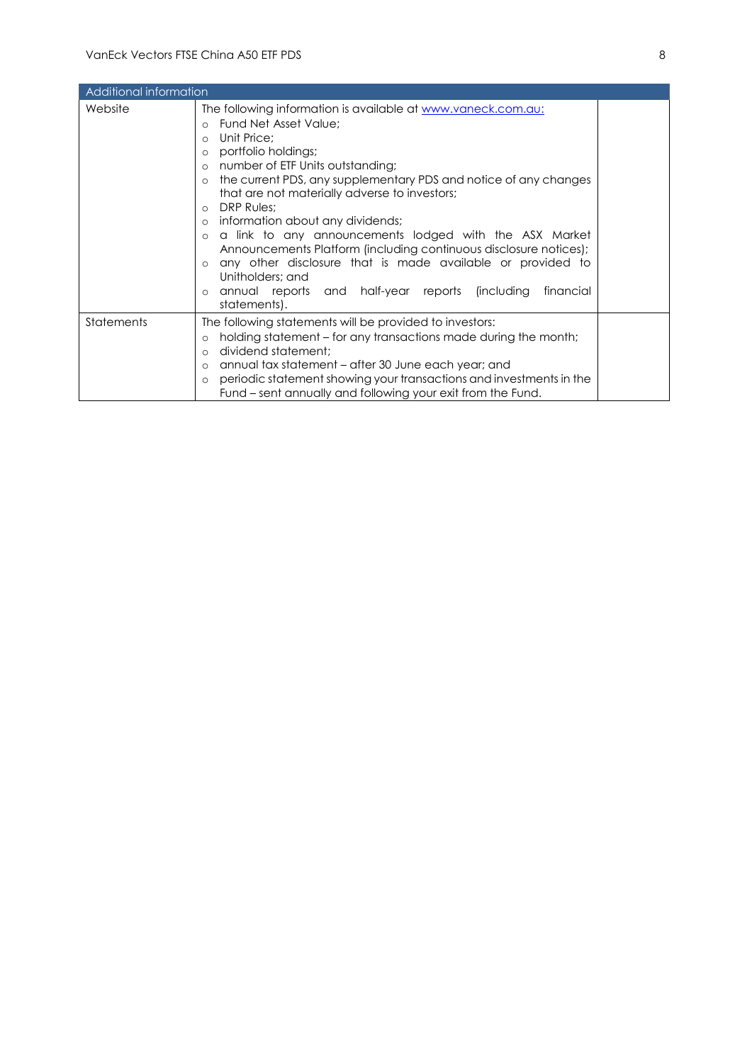| Additional information |                                                                                                                                                                                                                                                                                                                                                                                                                                                                                                                                                                                                                                                                                                                                        |  |
|------------------------|----------------------------------------------------------------------------------------------------------------------------------------------------------------------------------------------------------------------------------------------------------------------------------------------------------------------------------------------------------------------------------------------------------------------------------------------------------------------------------------------------------------------------------------------------------------------------------------------------------------------------------------------------------------------------------------------------------------------------------------|--|
| Website                | The following information is available at <u>www.vaneck.com.au:</u><br>Fund Net Asset Value;<br>Unit Price;<br>$\circ$<br>portfolio holdings;<br>$\circ$<br>number of ETF Units outstanding;<br>$\circ$<br>the current PDS, any supplementary PDS and notice of any changes<br>$\circ$<br>that are not materially adverse to investors;<br>DRP Rules;<br>$\circ$<br>information about any dividends;<br>$\circ$<br>a link to any announcements lodged with the ASX Market<br>Announcements Platform (including continuous disclosure notices);<br>any other disclosure that is made available or provided to<br>$\circ$<br>Unitholders; and<br>annual reports and half-year reports (including<br>financial<br>$\circ$<br>statements). |  |
| Statements             | The following statements will be provided to investors:<br>holding statement – for any transactions made during the month;<br>$\circ$<br>dividend statement:<br>$\Omega$<br>annual tax statement – after 30 June each year; and<br>$\circ$<br>periodic statement showing your transactions and investments in the<br>$\circ$<br>Fund – sent annually and following your exit from the Fund.                                                                                                                                                                                                                                                                                                                                            |  |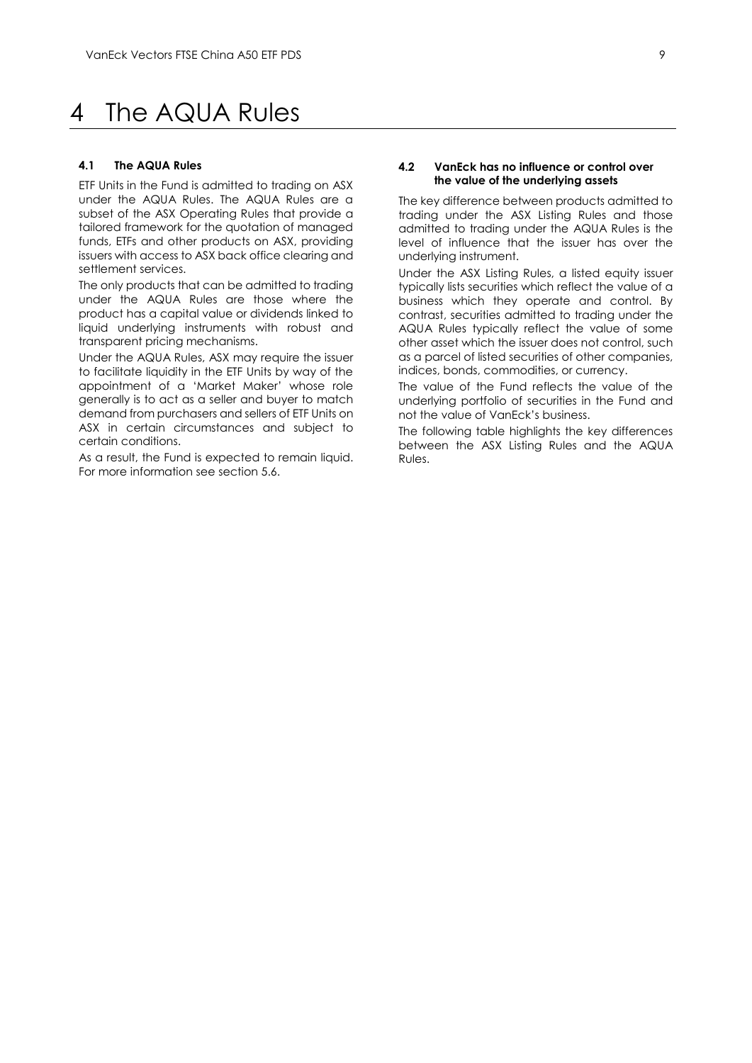# <span id="page-9-0"></span>4 The AQUA Rules

#### **4.1 The AQUA Rules**

ETF Units in the Fund is admitted to trading on ASX under the AQUA Rules. The AQUA Rules are a subset of the ASX Operating Rules that provide a tailored framework for the quotation of managed funds, ETFs and other products on ASX, providing issuers with access to ASX back office clearing and settlement services.

The only products that can be admitted to trading under the AQUA Rules are those where the product has a capital value or dividends linked to liquid underlying instruments with robust and transparent pricing mechanisms.

Under the AQUA Rules, ASX may require the issuer to facilitate liquidity in the ETF Units by way of the appointment of a 'Market Maker' whose role generally is to act as a seller and buyer to match demand from purchasers and sellers of ETF Units on ASX in certain circumstances and subject to certain conditions.

As a result, the Fund is expected to remain liquid. For more information see section 5.6.

#### **4.2 VanEck has no influence or control over the value of the underlying assets**

The key difference between products admitted to trading under the ASX Listing Rules and those admitted to trading under the AQUA Rules is the level of influence that the issuer has over the underlying instrument.

Under the ASX Listing Rules, a listed equity issuer typically lists securities which reflect the value of a business which they operate and control. By contrast, securities admitted to trading under the AQUA Rules typically reflect the value of some other asset which the issuer does not control, such as a parcel of listed securities of other companies, indices, bonds, commodities, or currency.

The value of the Fund reflects the value of the underlying portfolio of securities in the Fund and not the value of VanEck's business.

The following table highlights the key differences between the ASX Listing Rules and the AQUA Rules.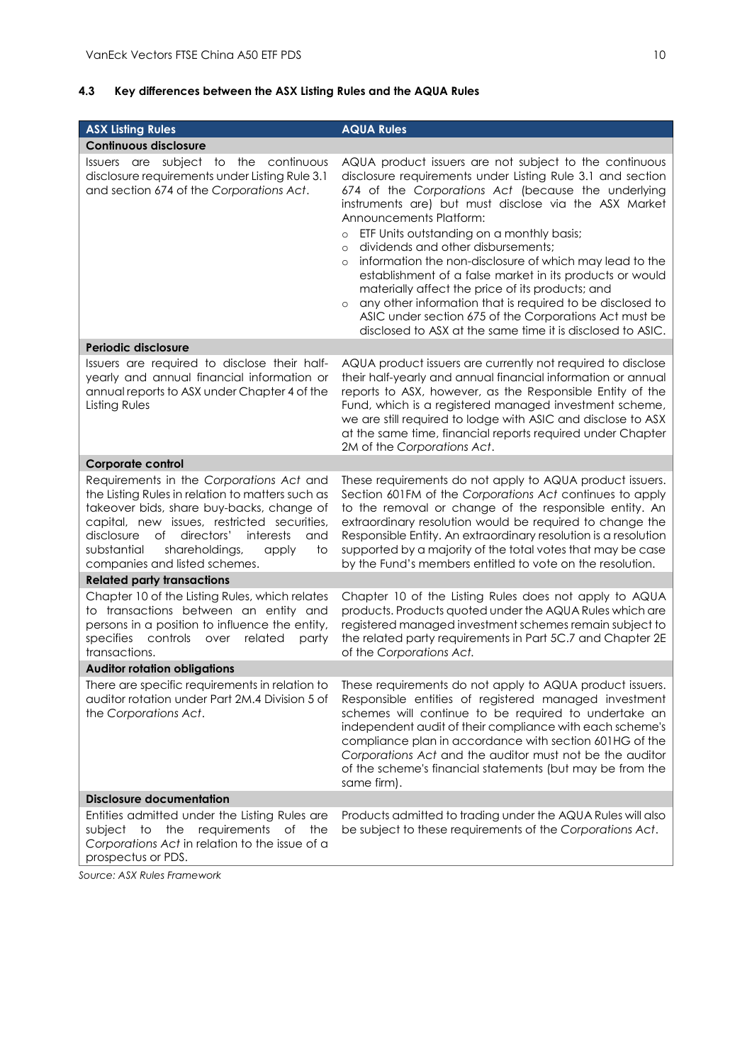# **4.3 Key differences between the ASX Listing Rules and the AQUA Rules**

| <b>ASX Listing Rules</b>                                                                                                                                                                                                                                                                                                        | <b>AQUA Rules</b>                                                                                                                                                                                                                                                                                                                                                                                                                                                                                                                                                                                                                                                                                                                                              |
|---------------------------------------------------------------------------------------------------------------------------------------------------------------------------------------------------------------------------------------------------------------------------------------------------------------------------------|----------------------------------------------------------------------------------------------------------------------------------------------------------------------------------------------------------------------------------------------------------------------------------------------------------------------------------------------------------------------------------------------------------------------------------------------------------------------------------------------------------------------------------------------------------------------------------------------------------------------------------------------------------------------------------------------------------------------------------------------------------------|
| <b>Continuous disclosure</b>                                                                                                                                                                                                                                                                                                    |                                                                                                                                                                                                                                                                                                                                                                                                                                                                                                                                                                                                                                                                                                                                                                |
| Issuers are subject to the continuous<br>disclosure requirements under Listing Rule 3.1<br>and section 674 of the Corporations Act.                                                                                                                                                                                             | AQUA product issuers are not subject to the continuous<br>disclosure requirements under Listing Rule 3.1 and section<br>674 of the Corporations Act (because the underlying<br>instruments are) but must disclose via the ASX Market<br>Announcements Platform:<br>ETF Units outstanding on a monthly basis;<br>$\circ$<br>dividends and other disbursements;<br>$\circ$<br>information the non-disclosure of which may lead to the<br>$\circ$<br>establishment of a false market in its products or would<br>materially affect the price of its products; and<br>any other information that is required to be disclosed to<br>$\circ$<br>ASIC under section 675 of the Corporations Act must be<br>disclosed to ASX at the same time it is disclosed to ASIC. |
| Periodic disclosure                                                                                                                                                                                                                                                                                                             |                                                                                                                                                                                                                                                                                                                                                                                                                                                                                                                                                                                                                                                                                                                                                                |
| Issuers are required to disclose their half-<br>yearly and annual financial information or<br>annual reports to ASX under Chapter 4 of the<br>Listing Rules                                                                                                                                                                     | AQUA product issuers are currently not required to disclose<br>their half-yearly and annual financial information or annual<br>reports to ASX, however, as the Responsible Entity of the<br>Fund, which is a registered managed investment scheme,<br>we are still required to lodge with ASIC and disclose to ASX<br>at the same time, financial reports required under Chapter<br>2M of the Corporations Act.                                                                                                                                                                                                                                                                                                                                                |
| Corporate control                                                                                                                                                                                                                                                                                                               |                                                                                                                                                                                                                                                                                                                                                                                                                                                                                                                                                                                                                                                                                                                                                                |
| Requirements in the Corporations Act and<br>the Listing Rules in relation to matters such as<br>takeover bids, share buy-backs, change of<br>capital, new issues, restricted securities,<br>disclosure<br>of<br>directors'<br>interests<br>and<br>substantial<br>shareholdings,<br>to<br>apply<br>companies and listed schemes. | These requirements do not apply to AQUA product issuers.<br>Section 601FM of the Corporations Act continues to apply<br>to the removal or change of the responsible entity. An<br>extraordinary resolution would be required to change the<br>Responsible Entity. An extraordinary resolution is a resolution<br>supported by a majority of the total votes that may be case<br>by the Fund's members entitled to vote on the resolution.                                                                                                                                                                                                                                                                                                                      |
| <b>Related party transactions</b>                                                                                                                                                                                                                                                                                               |                                                                                                                                                                                                                                                                                                                                                                                                                                                                                                                                                                                                                                                                                                                                                                |
| Chapter 10 of the Listing Rules, which relates<br>to transactions between an entity and<br>persons in a position to influence the entity,<br>specifies controls over<br>related<br>party<br>transactions.                                                                                                                       | Chapter 10 of the Listing Rules does not apply to AQUA<br>products. Products quoted under the AQUA Rules which are<br>registered managed investment schemes remain subject to<br>the related party requirements in Part 5C.7 and Chapter 2E<br>of the Corporations Act.                                                                                                                                                                                                                                                                                                                                                                                                                                                                                        |
| <b>Auditor rotation obligations</b>                                                                                                                                                                                                                                                                                             |                                                                                                                                                                                                                                                                                                                                                                                                                                                                                                                                                                                                                                                                                                                                                                |
| There are specific requirements in relation to<br>auditor rotation under Part 2M.4 Division 5 of<br>the Corporations Act.                                                                                                                                                                                                       | These requirements do not apply to AQUA product issuers.<br>Responsible entities of registered managed investment<br>schemes will continue to be required to undertake an<br>independent audit of their compliance with each scheme's<br>compliance plan in accordance with section 601HG of the<br>Corporations Act and the auditor must not be the auditor<br>of the scheme's financial statements (but may be from the<br>same firm).                                                                                                                                                                                                                                                                                                                       |
| <b>Disclosure documentation</b>                                                                                                                                                                                                                                                                                                 |                                                                                                                                                                                                                                                                                                                                                                                                                                                                                                                                                                                                                                                                                                                                                                |
| Entities admitted under the Listing Rules are<br>requirements<br>subject to<br>the<br>of the<br>Corporations Act in relation to the issue of a<br>prospectus or PDS.                                                                                                                                                            | Products admitted to trading under the AQUA Rules will also<br>be subject to these requirements of the Corporations Act.                                                                                                                                                                                                                                                                                                                                                                                                                                                                                                                                                                                                                                       |

*Source: ASX Rules Framework*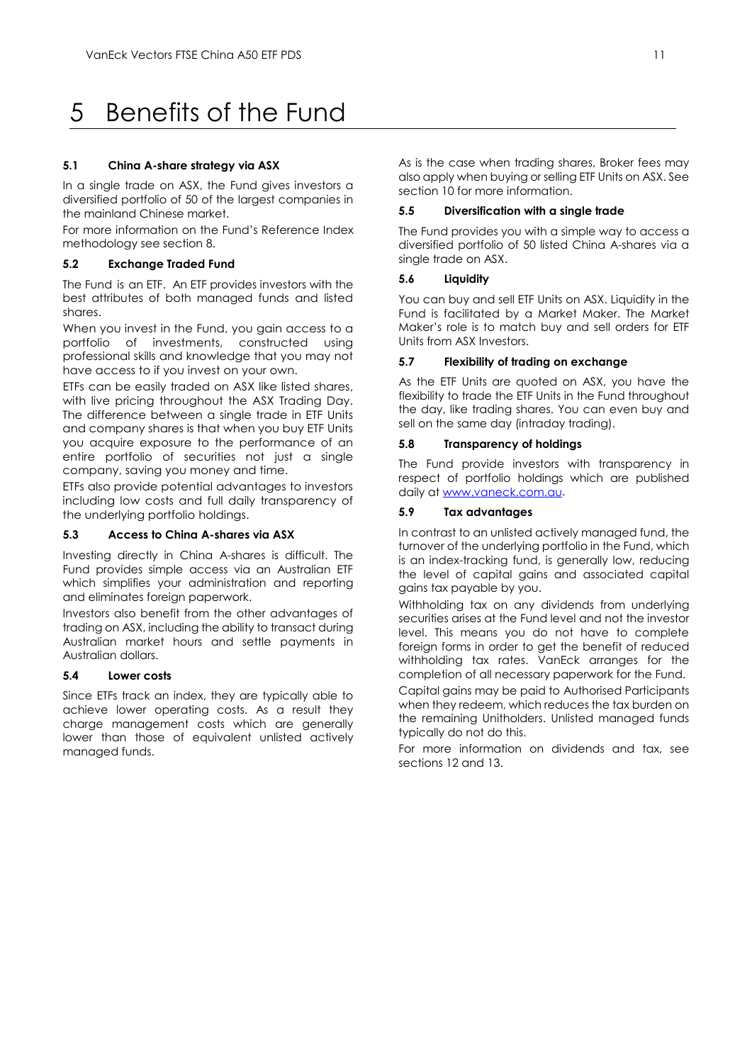# <span id="page-11-0"></span>5 Benefits of the Fund

#### **5.1 China A-share strategy via ASX**

In a single trade on ASX, the Fund gives investors a diversified portfolio of 50 of the largest companies in the mainland Chinese market.

For more information on the Fund's Reference Index methodology see section 8.

#### **5.2 Exchange Traded Fund**

The Fund is an ETF. An ETF provides investors with the best attributes of both managed funds and listed shares.

When you invest in the Fund, you gain access to a portfolio of investments, constructed using professional skills and knowledge that you may not have access to if you invest on your own.

ETFs can be easily traded on ASX like listed shares, with live pricing throughout the ASX Trading Day. The difference between a single trade in ETF Units and company shares is that when you buy ETF Units you acquire exposure to the performance of an entire portfolio of securities not just a single company, saving you money and time.

ETFs also provide potential advantages to investors including low costs and full daily transparency of the underlying portfolio holdings.

#### **5.3 Access to China A-shares via ASX**

Investing directly in China A-shares is difficult. The Fund provides simple access via an Australian ETF which simplifies your administration and reporting and eliminates foreign paperwork.

Investors also benefit from the other advantages of trading on ASX, including the ability to transact during Australian market hours and settle payments in Australian dollars.

#### **5.4 Lower costs**

Since ETFs track an index, they are typically able to achieve lower operating costs. As a result they charge management costs which are generally lower than those of equivalent unlisted actively managed funds.

As is the case when trading shares, Broker fees may also apply when buying or selling ETF Units on ASX. See section 10 for more information.

#### **5.5 Diversification with a single trade**

The Fund provides you with a simple way to access a diversified portfolio of 50 listed China A-shares via a single trade on ASX.

#### **5.6 Liquidity**

You can buy and sell ETF Units on ASX. Liquidity in the Fund is facilitated by a Market Maker. The Market Maker's role is to match buy and sell orders for ETF Units from ASX Investors.

#### **5.7 Flexibility of trading on exchange**

As the ETF Units are quoted on ASX, you have the flexibility to trade the ETF Units in the Fund throughout the day, like trading shares. You can even buy and sell on the same day (intraday trading).

#### **5.8 Transparency of holdings**

The Fund provide investors with transparency in respect of portfolio holdings which are published daily a[t www.vaneck.com.au.](http://www.vaneck.com.au/)

#### **5.9 Tax advantages**

In contrast to an unlisted actively managed fund, the turnover of the underlying portfolio in the Fund, which is an index-tracking fund, is generally low, reducing the level of capital gains and associated capital gains tax payable by you.

Withholding tax on any dividends from underlying securities arises at the Fund level and not the investor level. This means you do not have to complete foreign forms in order to get the benefit of reduced withholding tax rates. VanEck arranges for the completion of all necessary paperwork for the Fund.

Capital gains may be paid to Authorised Participants when they redeem, which reduces the tax burden on the remaining Unitholders. Unlisted managed funds typically do not do this.

For more information on dividends and tax, see sections 12 and 13.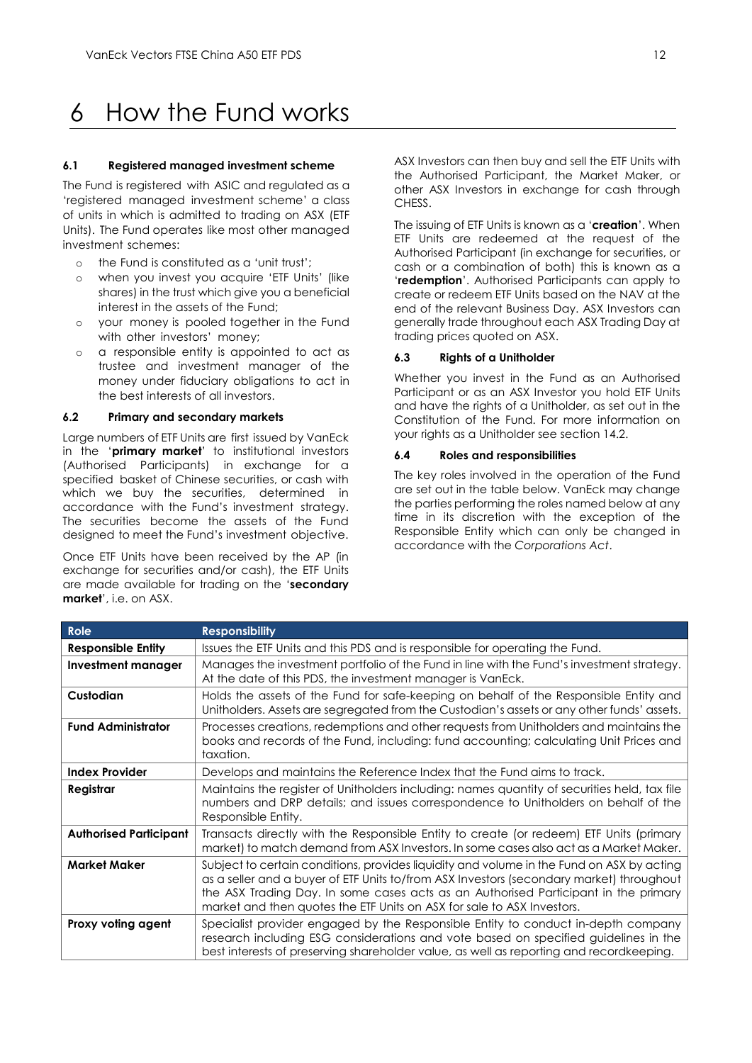# <span id="page-12-0"></span>6 How the Fund works

#### **6.1 Registered managed investment scheme**

The Fund is registered with ASIC and regulated as a 'registered managed investment scheme' a class of units in which is admitted to trading on ASX (ETF Units). The Fund operates like most other managed investment schemes:

- o the Fund is constituted as a 'unit trust';
- o when you invest you acquire 'ETF Units' (like shares) in the trust which give you a beneficial interest in the assets of the Fund;
- o your money is pooled together in the Fund with other investors' money;
- o a responsible entity is appointed to act as trustee and investment manager of the money under fiduciary obligations to act in the best interests of all investors.

#### **6.2 Primary and secondary markets**

Large numbers of ETF Units are first issued by VanEck in the '**primary market**' to institutional investors (Authorised Participants) in exchange for a specified basket of Chinese securities, or cash with which we buy the securities, determined in accordance with the Fund's investment strategy. The securities become the assets of the Fund designed to meet the Fund's investment objective.

Once ETF Units have been received by the AP (in exchange for securities and/or cash), the ETF Units are made available for trading on the '**secondary market**', i.e. on ASX.

ASX Investors can then buy and sell the ETF Units with the Authorised Participant, the Market Maker, or other ASX Investors in exchange for cash through CHESS.

The issuing of ETF Units is known as a '**creation**'. When ETF Units are redeemed at the request of the Authorised Participant (in exchange for securities, or cash or a combination of both) this is known as a '**redemption**'. Authorised Participants can apply to create or redeem ETF Units based on the NAV at the end of the relevant Business Day. ASX Investors can generally trade throughout each ASX Trading Day at trading prices quoted on ASX.

#### **6.3 Rights of a Unitholder**

Whether you invest in the Fund as an Authorised Participant or as an ASX Investor you hold ETF Units and have the rights of a Unitholder, as set out in the Constitution of the Fund. For more information on your rights as a Unitholder see section 14.2.

#### **6.4 Roles and responsibilities**

The key roles involved in the operation of the Fund are set out in the table below. VanEck may change the parties performing the roles named below at any time in its discretion with the exception of the Responsible Entity which can only be changed in accordance with the *Corporations Act*.

| Role                          | <b>Responsibility</b>                                                                                                                                                                                                                                                                                                                                  |
|-------------------------------|--------------------------------------------------------------------------------------------------------------------------------------------------------------------------------------------------------------------------------------------------------------------------------------------------------------------------------------------------------|
| <b>Responsible Entity</b>     | Issues the ETF Units and this PDS and is responsible for operating the Fund.                                                                                                                                                                                                                                                                           |
| <b>Investment manager</b>     | Manages the investment portfolio of the Fund in line with the Fund's investment strategy.<br>At the date of this PDS, the investment manager is VanEck.                                                                                                                                                                                                |
| Custodian                     | Holds the assets of the Fund for safe-keeping on behalf of the Responsible Entity and<br>Unitholders. Assets are segregated from the Custodian's assets or any other funds' assets.                                                                                                                                                                    |
| <b>Fund Administrator</b>     | Processes creations, redemptions and other requests from Unitholders and maintains the<br>books and records of the Fund, including: fund accounting; calculating Unit Prices and<br>taxation.                                                                                                                                                          |
| <b>Index Provider</b>         | Develops and maintains the Reference Index that the Fund aims to track.                                                                                                                                                                                                                                                                                |
| Registrar                     | Maintains the register of Unitholders including: names quantity of securities held, tax file<br>numbers and DRP details; and issues correspondence to Unitholders on behalf of the<br>Responsible Entity.                                                                                                                                              |
| <b>Authorised Participant</b> | Transacts directly with the Responsible Entity to create (or redeem) ETF Units (primary<br>market) to match demand from ASX Investors. In some cases also act as a Market Maker.                                                                                                                                                                       |
| Market Maker                  | Subject to certain conditions, provides liquidity and volume in the Fund on ASX by acting<br>as a seller and a buyer of ETF Units to/from ASX Investors (secondary market) throughout<br>the ASX Trading Day. In some cases acts as an Authorised Participant in the primary<br>market and then quotes the ETF Units on ASX for sale to ASX Investors. |
| Proxy voting agent            | Specialist provider engaged by the Responsible Entity to conduct in-depth company<br>research including ESG considerations and vote based on specified guidelines in the<br>best interests of preserving shareholder value, as well as reporting and recordkeeping.                                                                                    |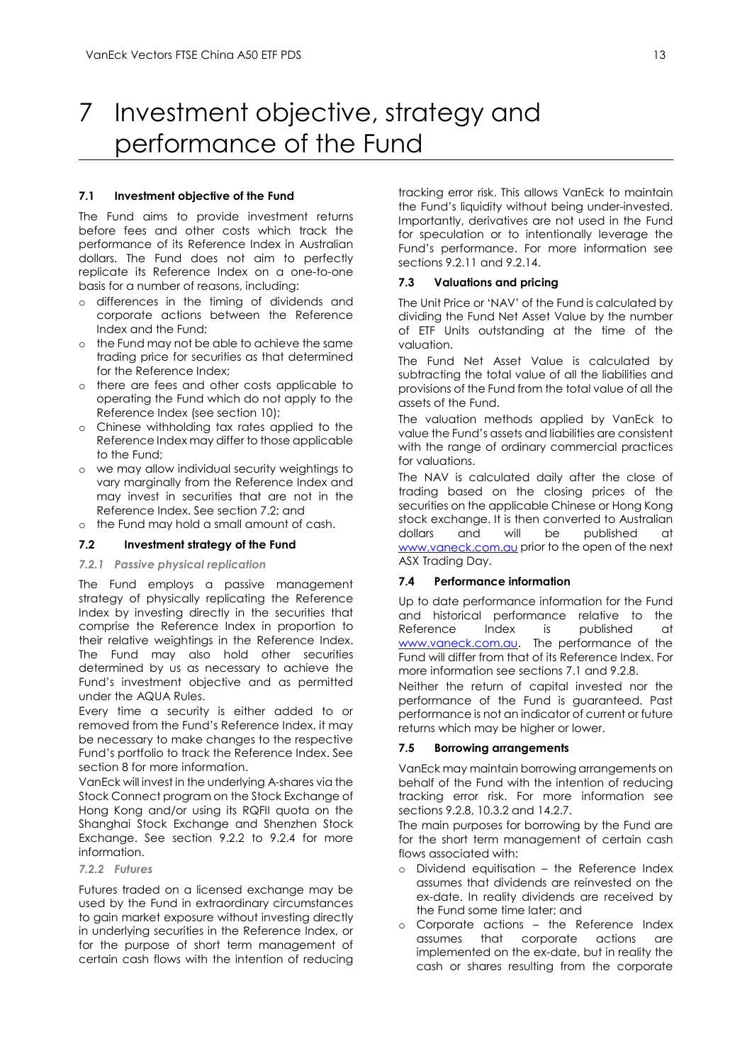# <span id="page-13-0"></span>7 Investment objective, strategy and performance of the Fund

#### **7.1 Investment objective of the Fund**

The Fund aims to provide investment returns before fees and other costs which track the performance of its Reference Index in Australian dollars. The Fund does not aim to perfectly replicate its Reference Index on a one-to-one basis for a number of reasons, including:

- o differences in the timing of dividends and corporate actions between the Reference Index and the Fund;
- o the Fund may not be able to achieve the same trading price for securities as that determined for the Reference Index;
- o there are fees and other costs applicable to operating the Fund which do not apply to the Reference Index (see section 10);
- o Chinese withholding tax rates applied to the Reference Index may differ to those applicable to the Fund;
- o we may allow individual security weightings to vary marginally from the Reference Index and may invest in securities that are not in the Reference Index. See section 7.2; and
- o the Fund may hold a small amount of cash.

#### **7.2 Investment strategy of the Fund**

#### *7.2.1 Passive physical replication*

The Fund employs a passive management strategy of physically replicating the Reference Index by investing directly in the securities that comprise the Reference Index in proportion to their relative weightings in the Reference Index. The Fund may also hold other securities determined by us as necessary to achieve the Fund's investment objective and as permitted under the AQUA Rules.

Every time a security is either added to or removed from the Fund's Reference Index, it may be necessary to make changes to the respective Fund's portfolio to track the Reference Index. See section 8 for more information.

VanEck will invest in the underlying A-shares via the Stock Connect program on the Stock Exchange of Hong Kong and/or using its RQFII quota on the Shanghai Stock Exchange and Shenzhen Stock Exchange. See section 9.2.2 to 9.2.4 for more information.

#### *7.2.2 Futures*

Futures traded on a licensed exchange may be used by the Fund in extraordinary circumstances to gain market exposure without investing directly in underlying securities in the Reference Index, or for the purpose of short term management of certain cash flows with the intention of reducing

tracking error risk. This allows VanEck to maintain the Fund's liquidity without being under-invested. Importantly, derivatives are not used in the Fund for speculation or to intentionally leverage the Fund's performance. For more information see sections 9.2.11 and 9.2.14.

#### **7.3 Valuations and pricing**

The Unit Price or 'NAV' of the Fund is calculated by dividing the Fund Net Asset Value by the number of ETF Units outstanding at the time of the valuation.

The Fund Net Asset Value is calculated by subtracting the total value of all the liabilities and provisions of the Fund from the total value of all the assets of the Fund.

The valuation methods applied by VanEck to value the Fund's assets and liabilities are consistent with the range of ordinary commercial practices for valuations.

The NAV is calculated daily after the close of trading based on the closing prices of the securities on the applicable Chinese or Hong Kong stock exchange. It is then converted to Australian dollars and will be published at [www.vaneck.com.au](http://www.vaneck.com.au/) prior to the open of the next ASX Trading Day.

### **7.4 Performance information**

Up to date performance information for the Fund and historical performance relative to the Reference Index is published at [www.vaneck.com.au.](http://www.vaneck.com.au/) The performance of the Fund will differ from that of its Reference Index. For more information see sections 7.1 and 9.2.8.

Neither the return of capital invested nor the performance of the Fund is guaranteed. Past performance is not an indicator of current or future returns which may be higher or lower.

#### **7.5 Borrowing arrangements**

VanEck may maintain borrowing arrangements on behalf of the Fund with the intention of reducing tracking error risk. For more information see sections 9.2.8, 10.3.2 and 14.2.7.

The main purposes for borrowing by the Fund are for the short term management of certain cash flows associated with:

- o Dividend equitisation the Reference Index assumes that dividends are reinvested on the ex-date. In reality dividends are received by the Fund some time later; and
- o Corporate actions the Reference Index assumes that corporate actions are implemented on the ex-date, but in reality the cash or shares resulting from the corporate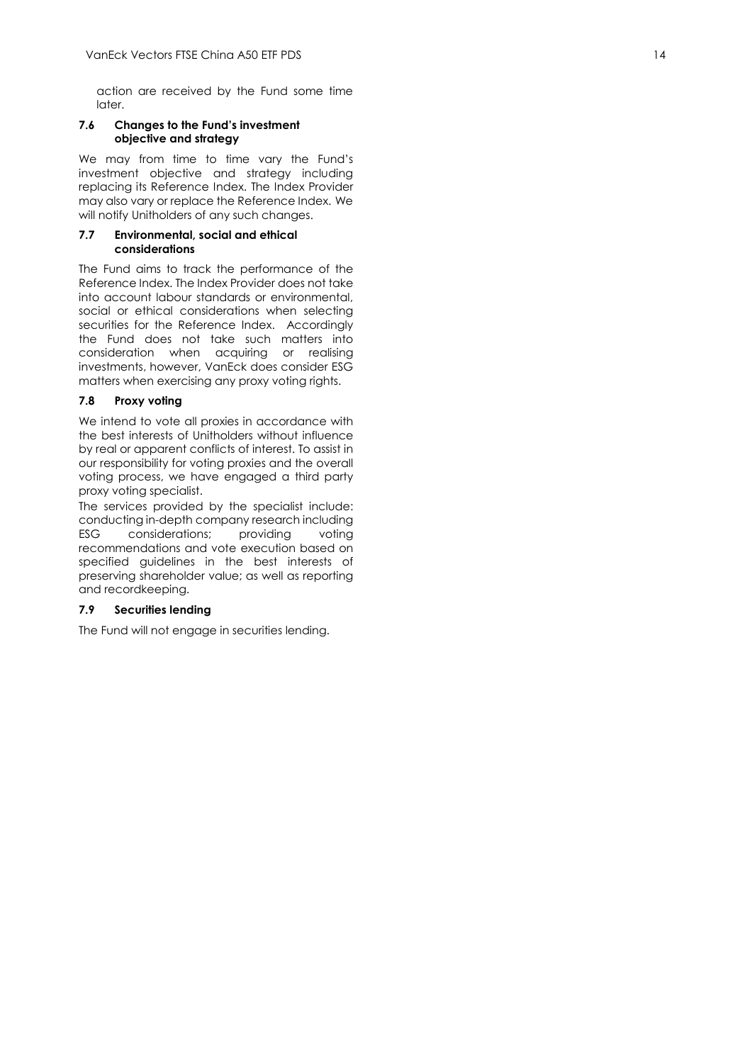action are received by the Fund some time later.

### **7.6 Changes to the Fund's investment objective and strategy**

We may from time to time vary the Fund's investment objective and strategy including replacing its Reference Index. The Index Provider may also vary or replace the Reference Index. We will notify Unitholders of any such changes.

#### **7.7 Environmental, social and ethical considerations**

The Fund aims to track the performance of the Reference Index. The Index Provider does not take into account labour standards or environmental, social or ethical considerations when selecting securities for the Reference Index. Accordingly the Fund does not take such matters into consideration when acquiring or realising investments, however, VanEck does consider ESG matters when exercising any proxy voting rights .

# **7.8 Proxy voting**

We intend to vote all proxies in accordance with the best interests of Unitholders without influence by real or apparent conflicts of interest. To assist in our responsibility for voting proxies and the overall voting process, we have engaged a third party proxy voting specialist.

The services provided by the specialist include : conducting in -depth company research including ESG considerations; providing voting recommendations and vote execution based on specified guidelines in the best interests of preserving shareholder value; as well as reporting and recordkeeping.

### **7.9 Securities lending**

The Fund will not engage in securities lending .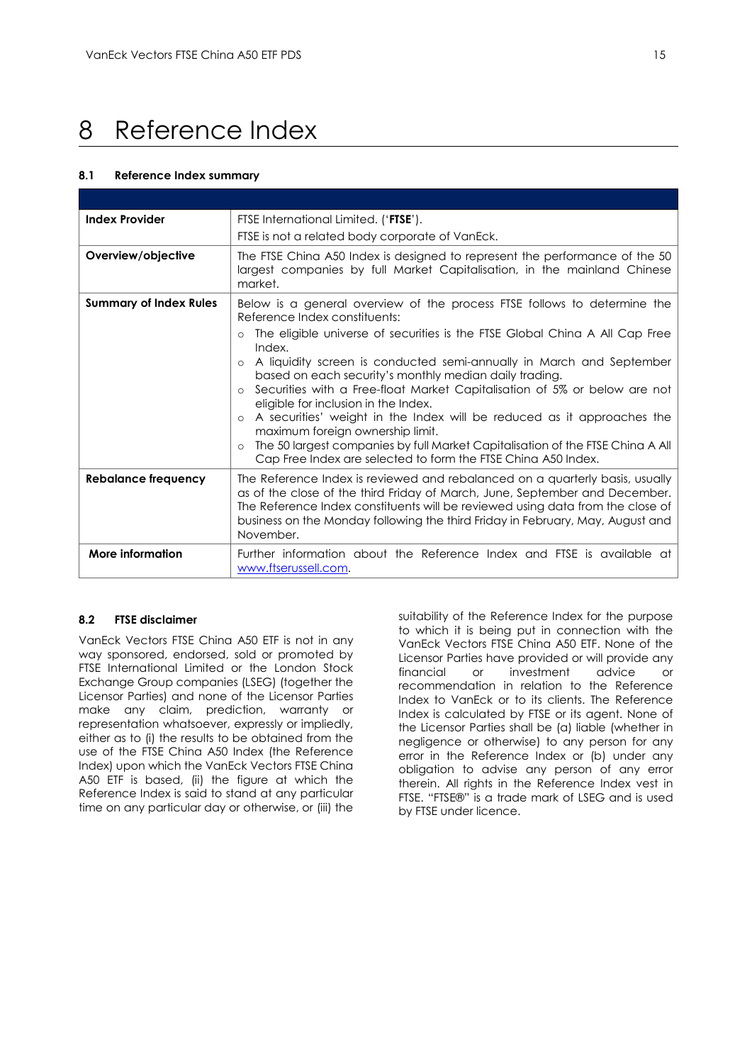# <span id="page-15-0"></span>8 Reference Index

#### **8.1 Reference Index summary**

| <b>Index Provider</b>         | FTSE International Limited. ('FTSE').                                                                                                                                                                                                                                                                                                        |  |
|-------------------------------|----------------------------------------------------------------------------------------------------------------------------------------------------------------------------------------------------------------------------------------------------------------------------------------------------------------------------------------------|--|
|                               | FTSE is not a related body corporate of VanEck.                                                                                                                                                                                                                                                                                              |  |
| Overview/objective            | The FTSE China A50 Index is designed to represent the performance of the 50<br>largest companies by full Market Capitalisation, in the mainland Chinese<br>market.                                                                                                                                                                           |  |
| <b>Summary of Index Rules</b> | Below is a general overview of the process FTSE follows to determine the<br>Reference Index constituents:                                                                                                                                                                                                                                    |  |
|                               | The eligible universe of securities is the FTSE Global China A All Cap Free<br>Index.                                                                                                                                                                                                                                                        |  |
|                               | A liquidity screen is conducted semi-annually in March and September<br>based on each security's monthly median daily trading.<br>Securities with a Free-float Market Capitalisation of 5% or below are not<br>eligible for inclusion in the Index.                                                                                          |  |
|                               | A securities' weight in the Index will be reduced as it approaches the<br>$\circ$<br>maximum foreign ownership limit.                                                                                                                                                                                                                        |  |
|                               | The 50 largest companies by full Market Capitalisation of the FTSE China A All<br>Cap Free Index are selected to form the FTSE China A50 Index.                                                                                                                                                                                              |  |
| Rebalance frequency           | The Reference Index is reviewed and rebalanced on a quarterly basis, usually<br>as of the close of the third Friday of March, June, September and December.<br>The Reference Index constituents will be reviewed using data from the close of<br>business on the Monday following the third Friday in February, May, August and<br>November. |  |
| More information              | Further information about the Reference Index and FTSE is available at<br>www.ftserussell.com.                                                                                                                                                                                                                                               |  |

### **8.2 FTSE disclaimer**

VanEck Vectors FTSE China A50 ETF is not in any way sponsored, endorsed, sold or promoted by FTSE International Limited or the London Stock Exchange Group companies (LSEG) (together the Licensor Parties) and none of the Licensor Parties make any claim, prediction, warranty or representation whatsoever, expressly or impliedly, either as to (i) the results to be obtained from the use of the FTSE China A50 Index (the Reference Index) upon which the VanEck Vectors FTSE China A50 ETF is based, (ii) the figure at which the Reference Index is said to stand at any particular time on any particular day or otherwise, or (iii) the

suitability of the Reference Index for the purpose to which it is being put in connection with the VanEck Vectors FTSE China A50 ETF. None of the Licensor Parties have provided or will provide any financial or investment advice or recommendation in relation to the Reference Index to VanEck or to its clients. The Reference Index is calculated by FTSE or its agent. None of the Licensor Parties shall be (a) liable (whether in negligence or otherwise) to any person for any error in the Reference Index or (b) under any obligation to advise any person of any error therein. All rights in the Reference Index vest in FTSE. "FTSE®" is a trade mark of LSEG and is used by FTSE under licence.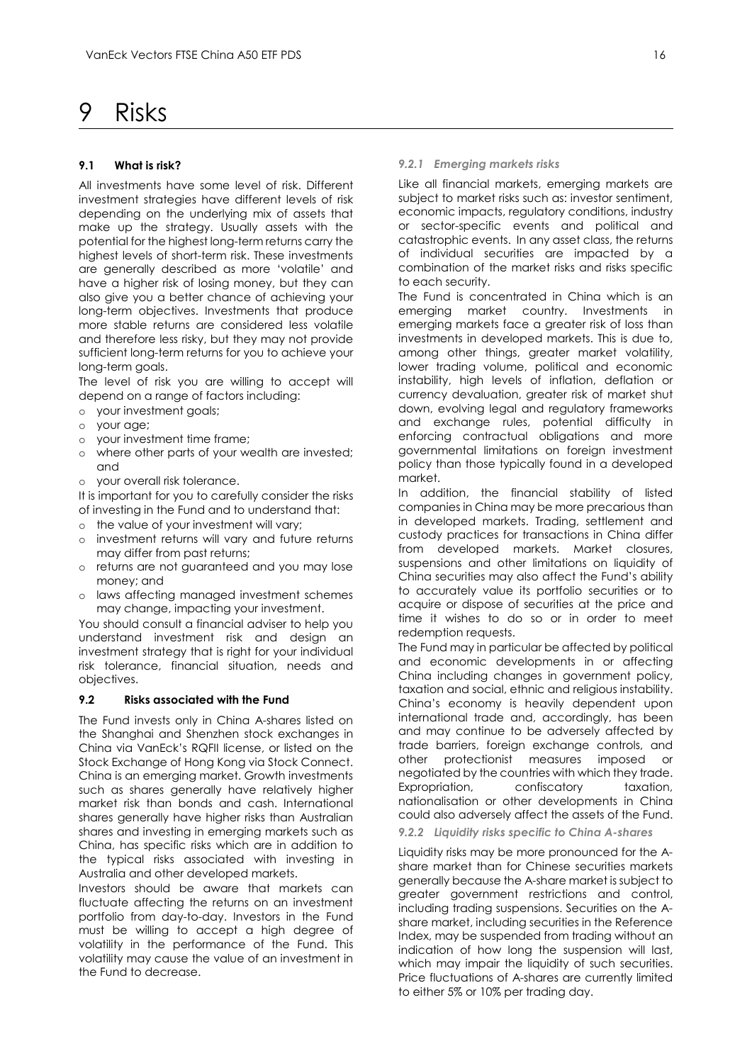# <span id="page-16-0"></span>9 Risks

#### **9.1 What is risk?**

All investments have some level of risk. Different investment strategies have different levels of risk depending on the underlying mix of assets that make up the strategy. Usually assets with the potential for the highest long-term returns carry the highest levels of short-term risk. These investments are generally described as more 'volatile' and have a higher risk of losing money, but they can also give you a better chance of achieving your long-term objectives. Investments that produce more stable returns are considered less volatile and therefore less risky, but they may not provide sufficient long-term returns for you to achieve your long-term goals.

The level of risk you are willing to accept will depend on a range of factors including:

- o your investment goals;
- o your age;
- o your investment time frame;
- o where other parts of your wealth are invested; and
- o your overall risk tolerance.

It is important for you to carefully consider the risks of investing in the Fund and to understand that:

- o the value of your investment will vary;
- o investment returns will vary and future returns may differ from past returns;
- o returns are not guaranteed and you may lose money; and
- o laws affecting managed investment schemes may change, impacting your investment.

You should consult a financial adviser to help you understand investment risk and design an investment strategy that is right for your individual risk tolerance, financial situation, needs and objectives.

#### **9.2 Risks associated with the Fund**

The Fund invests only in China A-shares listed on the Shanghai and Shenzhen stock exchanges in China via VanEck's RQFII license, or listed on the Stock Exchange of Hong Kong via Stock Connect. China is an emerging market. Growth investments such as shares generally have relatively higher market risk than bonds and cash. International shares generally have higher risks than Australian shares and investing in emerging markets such as China, has specific risks which are in addition to the typical risks associated with investing in Australia and other developed markets.

Investors should be aware that markets can fluctuate affecting the returns on an investment portfolio from day-to-day. Investors in the Fund must be willing to accept a high degree of volatility in the performance of the Fund. This volatility may cause the value of an investment in the Fund to decrease.

#### *9.2.1 Emerging markets risks*

Like all financial markets, emerging markets are subject to market risks such as: investor sentiment, economic impacts, regulatory conditions, industry or sector-specific events and political and catastrophic events. In any asset class, the returns of individual securities are impacted by a combination of the market risks and risks specific to each security.

The Fund is concentrated in China which is an emerging market country. Investments in emerging markets face a greater risk of loss than investments in developed markets. This is due to, among other things, greater market volatility, lower trading volume, political and economic instability, high levels of inflation, deflation or currency devaluation, greater risk of market shut down, evolving legal and regulatory frameworks and exchange rules, potential difficulty in enforcing contractual obligations and more governmental limitations on foreign investment policy than those typically found in a developed market.

In addition, the financial stability of listed companies in China may be more precarious than in developed markets. Trading, settlement and custody practices for transactions in China differ from developed markets. Market closures, suspensions and other limitations on liquidity of China securities may also affect the Fund's ability to accurately value its portfolio securities or to acquire or dispose of securities at the price and time it wishes to do so or in order to meet redemption requests.

The Fund may in particular be affected by political and economic developments in or affecting China including changes in government policy, taxation and social, ethnic and religious instability. China's economy is heavily dependent upon international trade and, accordingly, has been and may continue to be adversely affected by trade barriers, foreign exchange controls, and other protectionist measures imposed or negotiated by the countries with which they trade. Expropriation, confiscatory taxation, nationalisation or other developments in China could also adversely affect the assets of the Fund.

#### *9.2.2 Liquidity risks specific to China A-shares*

Liquidity risks may be more pronounced for the Ashare market than for Chinese securities markets generally because the A-share market is subject to greater government restrictions and control, including trading suspensions. Securities on the Ashare market, including securities in the Reference Index, may be suspended from trading without an indication of how long the suspension will last, which may impair the liquidity of such securities. Price fluctuations of A-shares are currently limited to either 5% or 10% per trading day.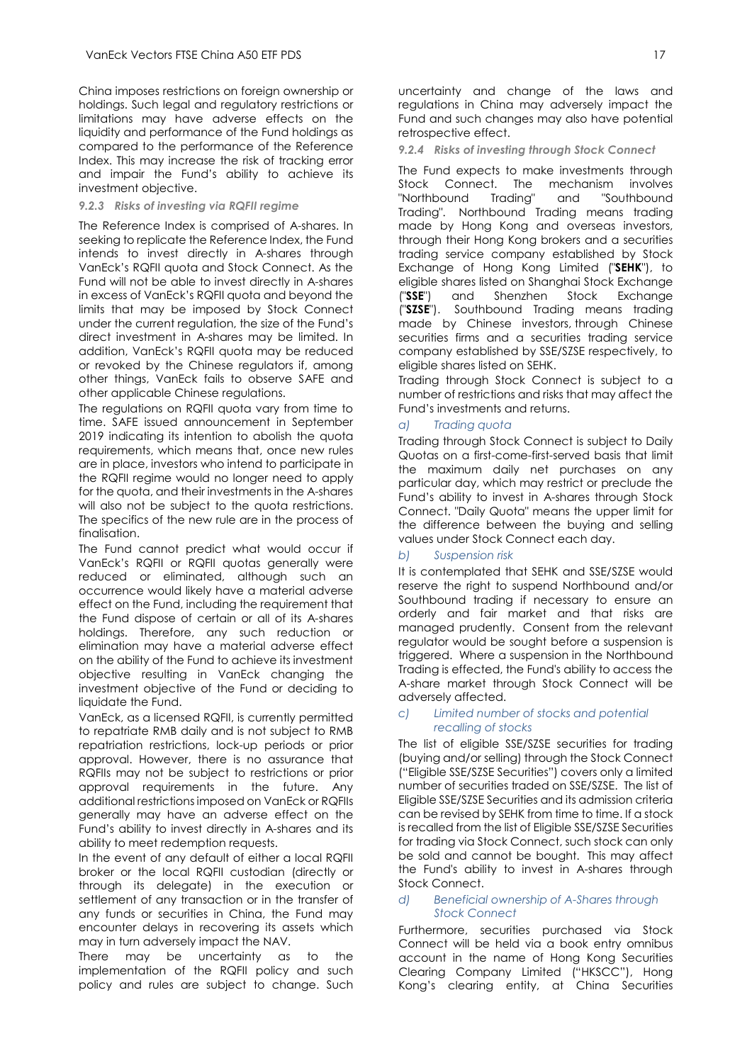China imposes restrictions on foreign ownership or holdings. Such legal and regulatory restrictions or limitations may have adverse effects on the liquidity and performance of the Fund holdings as compared to the performance of the Reference Index. This may increase the risk of tracking error and impair the Fund's ability to achieve its investment objective.

## *9.2.3 Risks of investing via RQFII regime*

The Reference Index is comprised of A-shares. In seeking to replicate the Reference Index, the Fund intends to invest directly in A-shares through VanEck's RQFII quota and Stock Connect. As the Fund will not be able to invest directly in A-shares in excess of VanEck's RQFII quota and beyond the limits that may be imposed by Stock Connect under the current regulation, the size of the Fund's direct investment in A-shares may be limited. In addition, VanEck's RQFII quota may be reduced or revoked by the Chinese regulators if, among other things, VanEck fails to observe SAFE and other applicable Chinese regulations.

The regulations on RQFII quota vary from time to time. SAFE issued announcement in September 2019 indicating its intention to abolish the quota requirements, which means that, once new rules are in place, investors who intend to participate in the RQFII regime would no longer need to apply for the quota, and their investments in the A-shares will also not be subject to the quota restrictions. The specifics of the new rule are in the process of finalisation.

The Fund cannot predict what would occur if VanEck's RQFII or RQFII quotas generally were reduced or eliminated, although such an occurrence would likely have a material adverse effect on the Fund, including the requirement that the Fund dispose of certain or all of its A-shares holdings. Therefore, any such reduction or elimination may have a material adverse effect on the ability of the Fund to achieve its investment objective resulting in VanEck changing the investment objective of the Fund or deciding to liquidate the Fund.

VanEck, as a licensed RQFII, is currently permitted to repatriate RMB daily and is not subject to RMB repatriation restrictions, lock-up periods or prior approval. However, there is no assurance that RQFIIs may not be subject to restrictions or prior approval requirements in the future. Any additional restrictions imposed on VanEck or RQFIIs generally may have an adverse effect on the Fund's ability to invest directly in A-shares and its ability to meet redemption requests.

In the event of any default of either a local RQFII broker or the local RQFII custodian (directly or through its delegate) in the execution or settlement of any transaction or in the transfer of any funds or securities in China, the Fund may encounter delays in recovering its assets which may in turn adversely impact the NAV.

There may be uncertainty as to the implementation of the RQFII policy and such policy and rules are subject to change. Such

uncertainty and change of the laws and regulations in China may adversely impact the Fund and such changes may also have potential retrospective effect.

#### *9.2.4 Risks of investing through Stock Connect*

The Fund expects to make investments through Stock Connect. The mechanism involves "Northbound Trading" and "Southbound Trading". Northbound Trading means trading made by Hong Kong and overseas investors, through their Hong Kong brokers and a securities trading service company established by Stock Exchange of Hong Kong Limited ("**SEHK**"), to eligible shares listed on Shanghai Stock Exchange ("**SSE**") and Shenzhen Stock Exchange ("**SZSE**"). Southbound Trading means trading made by Chinese investors, through Chinese securities firms and a securities trading service company established by SSE/SZSE respectively, to eligible shares listed on SEHK.

Trading through Stock Connect is subject to a number of restrictions and risks that may affect the Fund's investments and returns.

#### *a) Trading quota*

Trading through Stock Connect is subject to Daily Quotas on a first-come-first-served basis that limit the maximum daily net purchases on any particular day, which may restrict or preclude the Fund's ability to invest in A-shares through Stock Connect. "Daily Quota" means the upper limit for the difference between the buying and selling values under Stock Connect each day.

#### *b) Suspension risk*

It is contemplated that SEHK and SSE/SZSE would reserve the right to suspend Northbound and/or Southbound trading if necessary to ensure an orderly and fair market and that risks are managed prudently. Consent from the relevant regulator would be sought before a suspension is triggered. Where a suspension in the Northbound Trading is effected, the Fund's ability to access the A-share market through Stock Connect will be adversely affected.

#### *c) Limited number of stocks and potential recalling of stocks*

The list of eligible SSE/SZSE securities for trading (buying and/or selling) through the Stock Connect ("Eligible SSE/SZSE Securities") covers only a limited number of securities traded on SSE/SZSE. The list of Eligible SSE/SZSE Securities and its admission criteria can be revised by SEHK from time to time. If a stock is recalled from the list of Eligible SSE/SZSE Securities for trading via Stock Connect, such stock can only be sold and cannot be bought. This may affect the Fund's ability to invest in A-shares through Stock Connect.

#### *d) Beneficial ownership of A-Shares through Stock Connect*

Furthermore, securities purchased via Stock Connect will be held via a book entry omnibus account in the name of Hong Kong Securities Clearing Company Limited ("HKSCC"), Hong Kong's clearing entity, at China Securities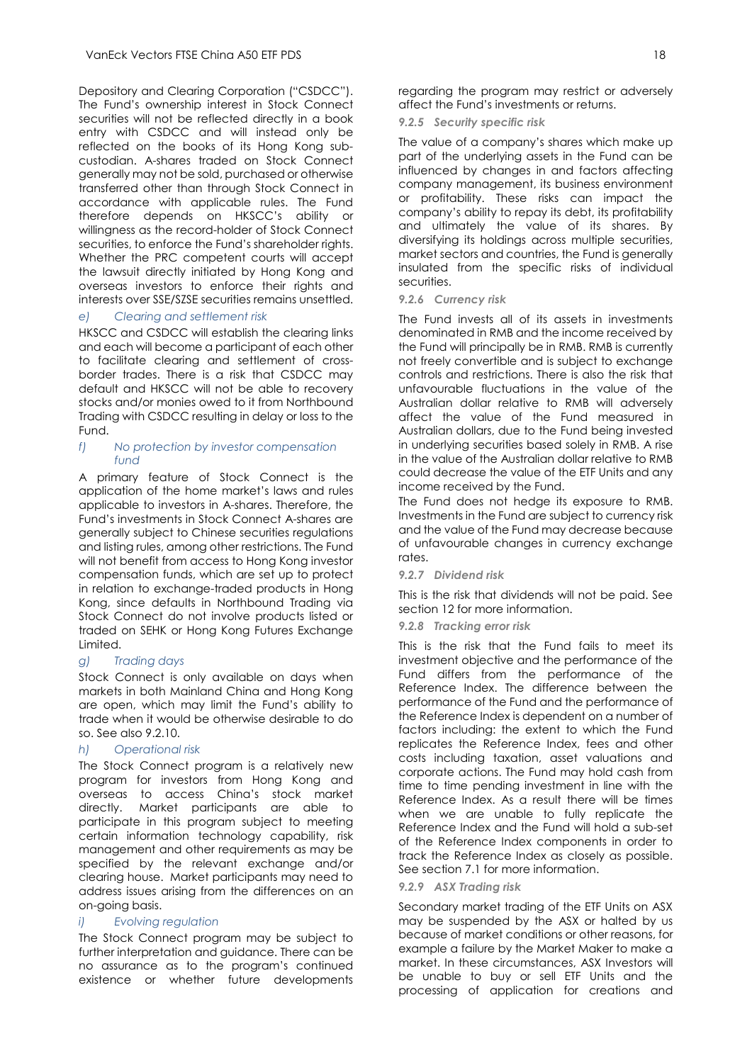Depository and Clearing Corporation ("CSDCC"). The Fund's ownership interest in Stock Connect securities will not be reflected directly in a book entry with CSDCC and will instead only be reflected on the books of its Hong Kong subcustodian. A-shares traded on Stock Connect generally may not be sold, purchased or otherwise transferred other than through Stock Connect in accordance with applicable rules. The Fund therefore depends on HKSCC's ability or willingness as the record-holder of Stock Connect securities, to enforce the Fund's shareholder rights. Whether the PRC competent courts will accept the lawsuit directly initiated by Hong Kong and overseas investors to enforce their rights and interests over SSE/SZSE securities remains unsettled.

#### *e) Clearing and settlement risk*

HKSCC and CSDCC will establish the clearing links and each will become a participant of each other to facilitate clearing and settlement of crossborder trades. There is a risk that CSDCC may default and HKSCC will not be able to recovery stocks and/or monies owed to it from Northbound Trading with CSDCC resulting in delay or loss to the Fund.

#### *f) No protection by investor compensation fund*

A primary feature of Stock Connect is the application of the home market's laws and rules applicable to investors in A-shares. Therefore, the Fund's investments in Stock Connect A-shares are generally subject to Chinese securities regulations and listing rules, among other restrictions. The Fund will not benefit from access to Hong Kong investor compensation funds, which are set up to protect in relation to exchange-traded products in Hong Kong, since defaults in Northbound Trading via Stock Connect do not involve products listed or traded on SEHK or Hong Kong Futures Exchange Limited.

#### *g) Trading days*

Stock Connect is only available on days when markets in both Mainland China and Hong Kong are open, which may limit the Fund's ability to trade when it would be otherwise desirable to do so. See also 9.2.10.

#### *h) Operational risk*

The Stock Connect program is a relatively new program for investors from Hong Kong and overseas to access China's stock market directly. Market participants are able to participate in this program subject to meeting certain information technology capability, risk management and other requirements as may be specified by the relevant exchange and/or clearing house. Market participants may need to address issues arising from the differences on an on-going basis.

#### *i) Evolving regulation*

The Stock Connect program may be subject to further interpretation and guidance. There can be no assurance as to the program's continued existence or whether future developments

regarding the program may restrict or adversely affect the Fund's investments or returns.

#### *9.2.5 Security specific risk*

The value of a company's shares which make up part of the underlying assets in the Fund can be influenced by changes in and factors affecting company management, its business environment or profitability. These risks can impact the company's ability to repay its debt, its profitability and ultimately the value of its shares. By diversifying its holdings across multiple securities, market sectors and countries, the Fund is generally insulated from the specific risks of individual securities.

#### *9.2.6 Currency risk*

The Fund invests all of its assets in investments denominated in RMB and the income received by the Fund will principally be in RMB. RMB is currently not freely convertible and is subject to exchange controls and restrictions. There is also the risk that unfavourable fluctuations in the value of the Australian dollar relative to RMB will adversely affect the value of the Fund measured in Australian dollars, due to the Fund being invested in underlying securities based solely in RMB. A rise in the value of the Australian dollar relative to RMB could decrease the value of the ETF Units and any income received by the Fund.

The Fund does not hedge its exposure to RMB. Investments in the Fund are subject to currency risk and the value of the Fund may decrease because of unfavourable changes in currency exchange rates.

#### *9.2.7 Dividend risk*

This is the risk that dividends will not be paid. See section 12 for more information.

#### *9.2.8 Tracking error risk*

This is the risk that the Fund fails to meet its investment objective and the performance of the Fund differs from the performance of the Reference Index. The difference between the performance of the Fund and the performance of the Reference Index is dependent on a number of factors including: the extent to which the Fund replicates the Reference Index, fees and other costs including taxation, asset valuations and corporate actions. The Fund may hold cash from time to time pending investment in line with the Reference Index. As a result there will be times when we are unable to fully replicate the Reference Index and the Fund will hold a sub-set of the Reference Index components in order to track the Reference Index as closely as possible. See section 7.1 for more information.

#### *9.2.9 ASX Trading risk*

Secondary market trading of the ETF Units on ASX may be suspended by the ASX or halted by us because of market conditions or other reasons, for example a failure by the Market Maker to make a market. In these circumstances, ASX Investors will be unable to buy or sell ETF Units and the processing of application for creations and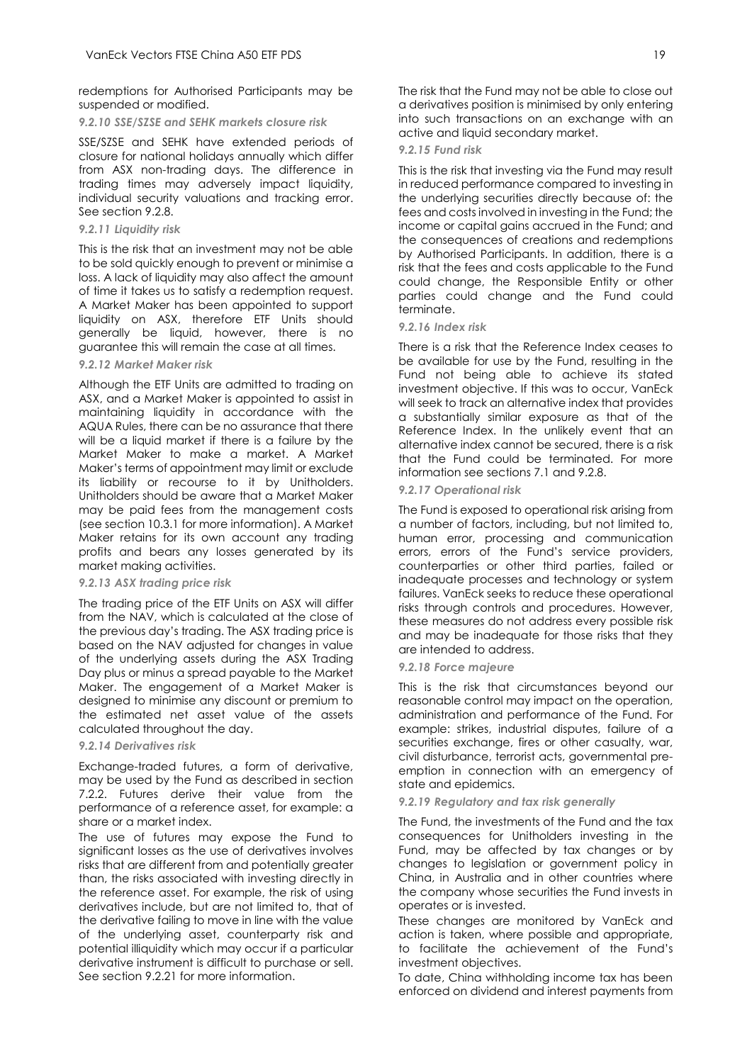redemptions for Authorised Participants may be suspended or modified.

#### *9.2.10 SSE/SZSE and SEHK markets closure risk*

SSE/SZSE and SEHK have extended periods of closure for national holidays annually which differ from ASX non-trading days. The difference in trading times may adversely impact liquidity, individual security valuations and tracking error. See section 9.2.8.

#### *9.2.11 Liquidity risk*

This is the risk that an investment may not be able to be sold quickly enough to prevent or minimise a loss. A lack of liquidity may also affect the amount of time it takes us to satisfy a redemption request. A Market Maker has been appointed to support liquidity on ASX, therefore ETF Units should generally be liquid, however, there is no guarantee this will remain the case at all times.

#### *9.2.12 Market Maker risk*

Although the ETF Units are admitted to trading on ASX, and a Market Maker is appointed to assist in maintaining liquidity in accordance with the AQUA Rules, there can be no assurance that there will be a liquid market if there is a failure by the Market Maker to make a market. A Market Maker's terms of appointment may limit or exclude its liability or recourse to it by Unitholders. Unitholders should be aware that a Market Maker may be paid fees from the management costs (see section 10.3.1 for more information). A Market Maker retains for its own account any trading profits and bears any losses generated by its market making activities.

#### *9.2.13 ASX trading price risk*

The trading price of the ETF Units on ASX will differ from the NAV, which is calculated at the close of the previous day's trading. The ASX trading price is based on the NAV adjusted for changes in value of the underlying assets during the ASX Trading Day plus or minus a spread payable to the Market Maker. The engagement of a Market Maker is designed to minimise any discount or premium to the estimated net asset value of the assets calculated throughout the day.

#### *9.2.14 Derivatives risk*

Exchange-traded futures, a form of derivative, may be used by the Fund as described in section 7.2.2. Futures derive their value from the performance of a reference asset, for example: a share or a market index.

The use of futures may expose the Fund to significant losses as the use of derivatives involves risks that are different from and potentially greater than, the risks associated with investing directly in the reference asset. For example, the risk of using derivatives include, but are not limited to, that of the derivative failing to move in line with the value of the underlying asset, counterparty risk and potential illiquidity which may occur if a particular derivative instrument is difficult to purchase or sell. See section 9.2.21 for more information.

The risk that the Fund may not be able to close out a derivatives position is minimised by only entering into such transactions on an exchange with an active and liquid secondary market.

#### *9.2.15 Fund risk*

This is the risk that investing via the Fund may result in reduced performance compared to investing in the underlying securities directly because of: the fees and costs involved in investing in the Fund; the income or capital gains accrued in the Fund; and the consequences of creations and redemptions by Authorised Participants. In addition, there is a risk that the fees and costs applicable to the Fund could change, the Responsible Entity or other parties could change and the Fund could terminate.

#### *9.2.16 Index risk*

There is a risk that the Reference Index ceases to be available for use by the Fund, resulting in the Fund not being able to achieve its stated investment objective. If this was to occur, VanEck will seek to track an alternative index that provides a substantially similar exposure as that of the Reference Index. In the unlikely event that an alternative index cannot be secured, there is a risk that the Fund could be terminated. For more information see sections 7.1 and 9.2.8.

#### *9.2.17 Operational risk*

The Fund is exposed to operational risk arising from a number of factors, including, but not limited to, human error, processing and communication errors, errors of the Fund's service providers, counterparties or other third parties, failed or inadequate processes and technology or system failures. VanEck seeks to reduce these operational risks through controls and procedures. However, these measures do not address every possible risk and may be inadequate for those risks that they are intended to address.

#### *9.2.18 Force majeure*

This is the risk that circumstances beyond our reasonable control may impact on the operation, administration and performance of the Fund. For example: strikes, industrial disputes, failure of a securities exchange, fires or other casualty, war, civil disturbance, terrorist acts, governmental preemption in connection with an emergency of state and epidemics.

#### *9.2.19 Regulatory and tax risk generally*

The Fund, the investments of the Fund and the tax consequences for Unitholders investing in the Fund, may be affected by tax changes or by changes to legislation or government policy in China, in Australia and in other countries where the company whose securities the Fund invests in operates or is invested.

These changes are monitored by VanEck and action is taken, where possible and appropriate, to facilitate the achievement of the Fund's investment objectives.

To date, China withholding income tax has been enforced on dividend and interest payments from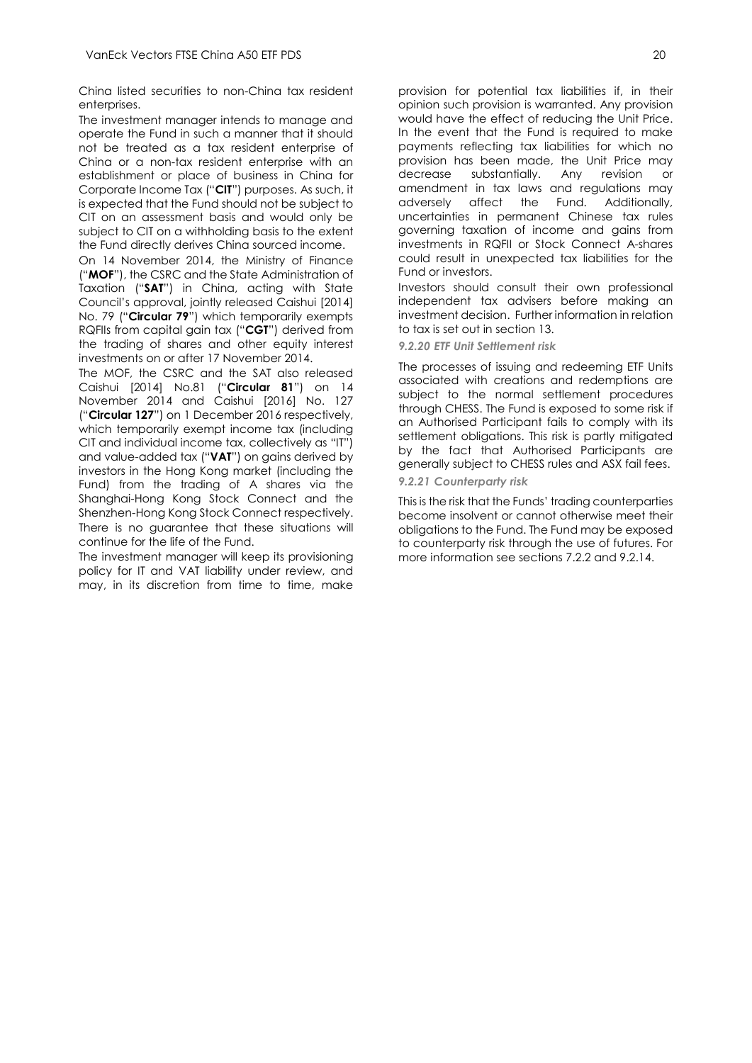China listed securities to non-China tax resident enterprises.

The investment manager intends to manage and operate the Fund in such a manner that it should not be treated as a tax resident enterprise of China or a non-tax resident enterprise with an establishment or place of business in China for Corporate Income Tax ("**CIT**") purposes. As such, it is expected that the Fund should not be subject to CIT on an assessment basis and would only be subject to CIT on a withholding basis to the extent the Fund directly derives China sourced income.

On 14 November 2014, the Ministry of Finance ("**MOF**"), the CSRC and the State Administration of Taxation ("**SAT**") in China, acting with State Council's approval, jointly released Caishui [2014] No. 79 ("**Circular 79**") which temporarily exempts RQFIIs from capital gain tax ("**CGT**") derived from the trading of shares and other equity interest investments on or after 17 November 2014.

The MOF, the CSRC and the SAT also released Caishui [2014] No.81 ("**Circular 81**") on 14 November 2014 and Caishui [2016] No. 127 ("**Circular 127**") on 1 December 2016 respectively, which temporarily exempt income tax (including CIT and individual income tax, collectively as "IT") and value-added tax ("**VAT**") on gains derived by investors in the Hong Kong market (including the Fund) from the trading of A shares via the Shanghai-Hong Kong Stock Connect and the Shenzhen-Hong Kong Stock Connect respectively. There is no guarantee that these situations will continue for the life of the Fund.

The investment manager will keep its provisioning policy for IT and VAT liability under review, and may, in its discretion from time to time, make

provision for potential tax liabilities if, in their opinion such provision is warranted. Any provision would have the effect of reducing the Unit Price. In the event that the Fund is required to make payments reflecting tax liabilities for which no provision has been made, the Unit Price may decrease substantially. Any revision or amendment in tax laws and regulations may<br>adversely affect the Fund. Additionally, adversely affect the Fund. Additionally, uncertainties in permanent Chinese tax rules governing taxation of income and gains from investments in RQFII or Stock Connect A-shares could result in unexpected tax liabilities for the Fund or investors.

Investors should consult their own professional independent tax advisers before making an investment decision. Further information in relation to tax is set out in section 13.

*9.2.20 ETF Unit Settlement risk*

The processes of issuing and redeeming ETF Units associated with creations and redemptions are subject to the normal settlement procedures through CHESS. The Fund is exposed to some risk if an Authorised Participant fails to comply with its settlement obligations. This risk is partly mitigated by the fact that Authorised Participants are generally subject to CHESS rules and ASX fail fees. *9.2.21 Counterparty risk* 

This is the risk that the Funds' trading counterparties become insolvent or cannot otherwise meet their obligations to the Fund. The Fund may be exposed to counterparty risk through the use of futures. For more information see sections 7.2.2 and 9.2.14.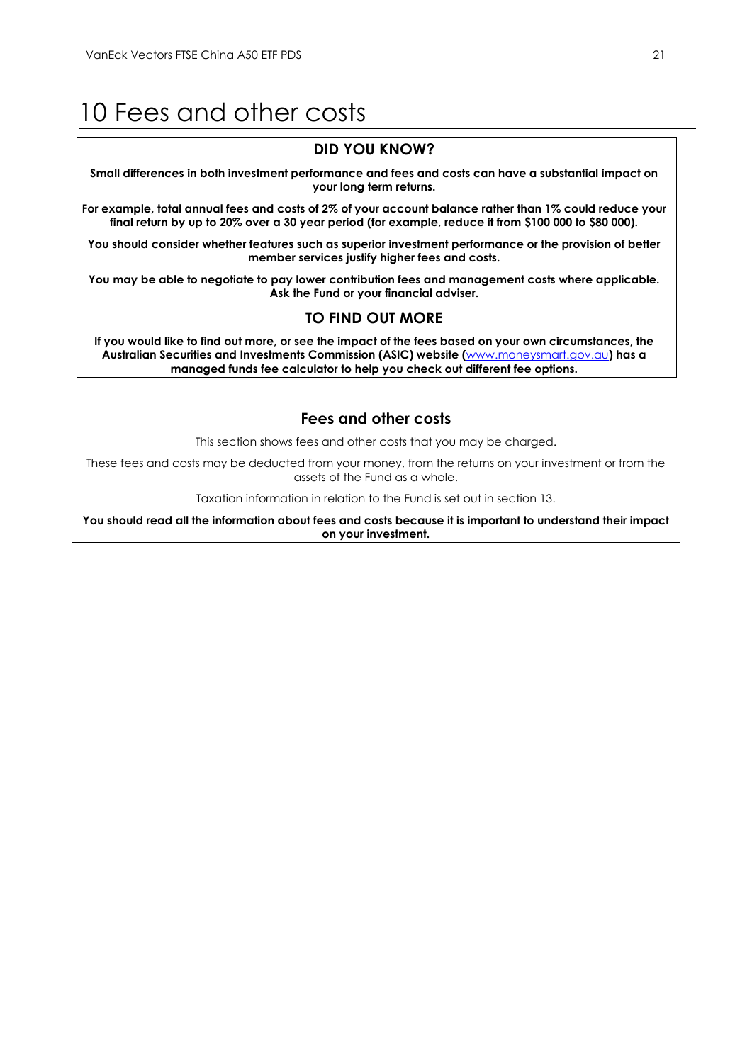# <span id="page-21-0"></span>10 Fees and other costs

# **DID YOU KNOW?**

**Small differences in both investment performance and fees and costs can have a substantial impact on your long term returns.**

**For example, total annual fees and costs of 2% of your account balance rather than 1% could reduce your final return by up to 20% over a 30 year period (for example, reduce it from \$100 000 to \$80 000).**

**You should consider whether features such as superior investment performance or the provision of better member services justify higher fees and costs.**

**You may be able to negotiate to pay lower contribution fees and management costs where applicable. Ask the Fund or your financial adviser.**

# **TO FIND OUT MORE**

**If you would like to find out more, or see the impact of the fees based on your own circumstances, the Australian Securities and Investments Commission (ASIC) website (**[www.moneysmart.gov.au](http://www.moneysmart.gov.au/)**) has a managed funds fee calculator to help you check out different fee options.**

# **Fees and other costs**

This section shows fees and other costs that you may be charged.

These fees and costs may be deducted from your money, from the returns on your investment or from the assets of the Fund as a whole.

Taxation information in relation to the Fund is set out in section 13.

**You should read all the information about fees and costs because it is important to understand their impact on your investment.**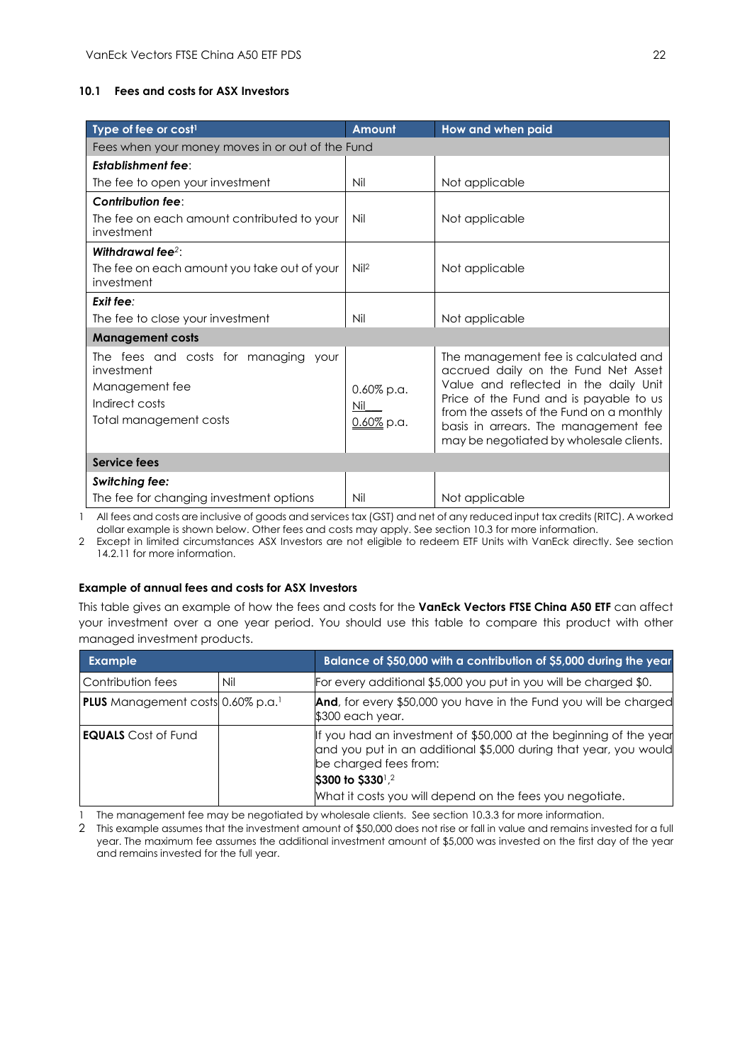# **10.1 Fees and costs for ASX Investors**

| Type of fee or cost <sup>1</sup>                                                                                 | Amount                             | How and when paid                                                                                                                                                                                                                                                                             |  |  |  |
|------------------------------------------------------------------------------------------------------------------|------------------------------------|-----------------------------------------------------------------------------------------------------------------------------------------------------------------------------------------------------------------------------------------------------------------------------------------------|--|--|--|
| Fees when your money moves in or out of the Fund                                                                 |                                    |                                                                                                                                                                                                                                                                                               |  |  |  |
| <b>Establishment fee:</b>                                                                                        |                                    |                                                                                                                                                                                                                                                                                               |  |  |  |
| The fee to open your investment                                                                                  | Nil                                | Not applicable                                                                                                                                                                                                                                                                                |  |  |  |
| Contribution fee:                                                                                                |                                    |                                                                                                                                                                                                                                                                                               |  |  |  |
| The fee on each amount contributed to your<br>investment                                                         | Nil                                | Not applicable                                                                                                                                                                                                                                                                                |  |  |  |
| Withdrawal fee <sup>2</sup> :                                                                                    |                                    |                                                                                                                                                                                                                                                                                               |  |  |  |
| The fee on each amount you take out of your<br>investment                                                        | Nil <sup>2</sup>                   | Not applicable                                                                                                                                                                                                                                                                                |  |  |  |
| Exit fee:                                                                                                        |                                    |                                                                                                                                                                                                                                                                                               |  |  |  |
| The fee to close your investment                                                                                 | Nil                                | Not applicable                                                                                                                                                                                                                                                                                |  |  |  |
| <b>Management costs</b>                                                                                          |                                    |                                                                                                                                                                                                                                                                                               |  |  |  |
| The fees and costs for managing your<br>investment<br>Management fee<br>Indirect costs<br>Total management costs | $0.60\%$ p.a.<br>Nil<br>0.60% p.a. | The management fee is calculated and<br>accrued daily on the Fund Net Asset<br>Value and reflected in the daily Unit<br>Price of the Fund and is payable to us<br>from the assets of the Fund on a monthly<br>basis in arrears. The management fee<br>may be negotiated by wholesale clients. |  |  |  |
| Service fees                                                                                                     |                                    |                                                                                                                                                                                                                                                                                               |  |  |  |
| <b>Switching fee:</b>                                                                                            |                                    |                                                                                                                                                                                                                                                                                               |  |  |  |
| The fee for changing investment options                                                                          | Nil                                | Not applicable                                                                                                                                                                                                                                                                                |  |  |  |

1 All fees and costs are inclusive of goods and services tax (GST) and net of any reduced input tax credits (RITC). A worked dollar example is shown below. Other fees and costs may apply. See section 10.3 for more information.

2 Except in limited circumstances ASX Investors are not eligible to redeem ETF Units with VanEck directly. See section 14.2.11 for more information.

#### **Example of annual fees and costs for ASX Investors**

This table gives an example of how the fees and costs for the **VanEck Vectors FTSE China A50 ETF** can affect your investment over a one year period. You should use this table to compare this product with other managed investment products.

| <b>Example</b>                                       |     | Balance of \$50,000 with a contribution of \$5,000 during the year                                                                                             |
|------------------------------------------------------|-----|----------------------------------------------------------------------------------------------------------------------------------------------------------------|
| Contribution fees                                    | Nil | For every additional \$5,000 you put in you will be charged \$0.                                                                                               |
| <b>PLUS</b> Management costs 0.60% p.a. <sup>1</sup> |     | And, for every \$50,000 you have in the Fund you will be charged<br>\$300 each year.                                                                           |
| <b>EQUALS</b> Cost of Fund                           |     | If you had an investment of \$50,000 at the beginning of the year<br>and you put in an additional \$5,000 during that year, you would<br>be charged fees from: |
|                                                      |     | \$300 to \$330 <sup>1</sup> ,2                                                                                                                                 |
|                                                      |     | What it costs you will depend on the fees you negotiate.                                                                                                       |

1 The management fee may be negotiated by wholesale clients. See section 10.3.3 for more information.

2 This example assumes that the investment amount of \$50,000 does not rise or fall in value and remains invested for a full year. The maximum fee assumes the additional investment amount of \$5,000 was invested on the first day of the year and remains invested for the full year.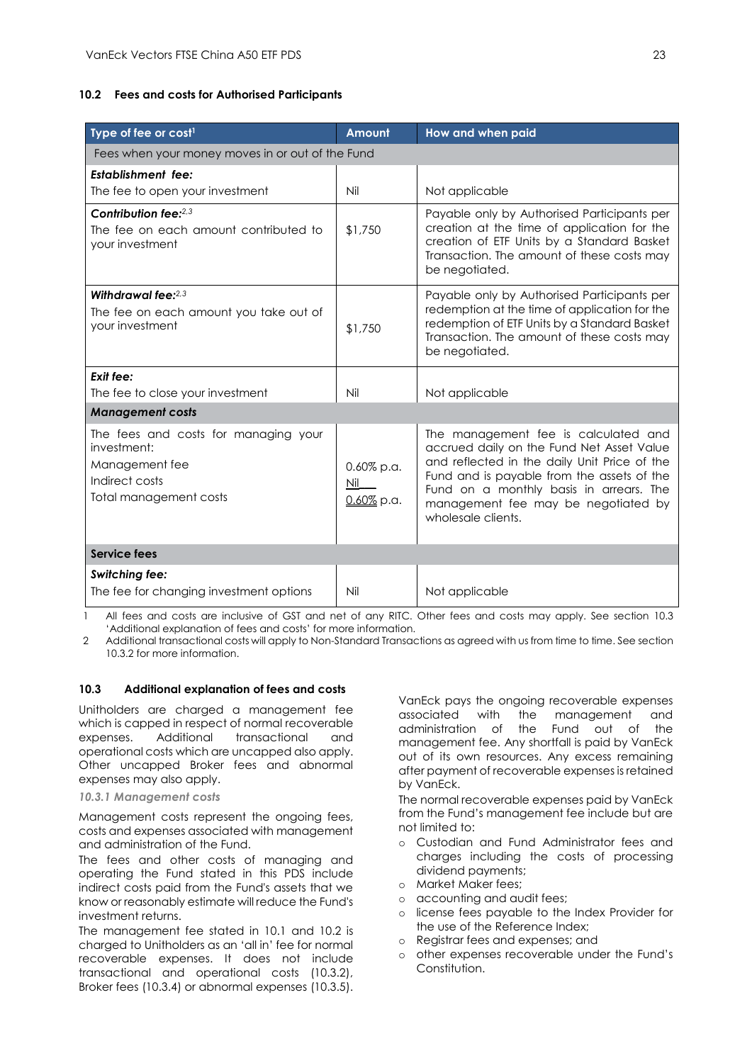#### **10.2 Fees and costs for Authorised Participants**

| Type of fee or cost <sup>1</sup>                                                                                  | <b>Amount</b>                         | How and when paid                                                                                                                                                                                                                                                                       |  |  |  |
|-------------------------------------------------------------------------------------------------------------------|---------------------------------------|-----------------------------------------------------------------------------------------------------------------------------------------------------------------------------------------------------------------------------------------------------------------------------------------|--|--|--|
| Fees when your money moves in or out of the Fund                                                                  |                                       |                                                                                                                                                                                                                                                                                         |  |  |  |
| <b>Establishment fee:</b>                                                                                         |                                       |                                                                                                                                                                                                                                                                                         |  |  |  |
| The fee to open your investment                                                                                   | Nil                                   | Not applicable                                                                                                                                                                                                                                                                          |  |  |  |
| Contribution fee: $2,3$<br>The fee on each amount contributed to<br>your investment                               | \$1,750                               | Payable only by Authorised Participants per<br>creation at the time of application for the<br>creation of ETF Units by a Standard Basket<br>Transaction. The amount of these costs may<br>be negotiated.                                                                                |  |  |  |
| Withdrawal fee: $2.3$<br>The fee on each amount you take out of<br>your investment                                | \$1,750                               | Payable only by Authorised Participants per<br>redemption at the time of application for the<br>redemption of ETF Units by a Standard Basket<br>Transaction. The amount of these costs may<br>be negotiated.                                                                            |  |  |  |
| Exit fee:                                                                                                         |                                       |                                                                                                                                                                                                                                                                                         |  |  |  |
| The fee to close your investment                                                                                  | Nil                                   | Not applicable                                                                                                                                                                                                                                                                          |  |  |  |
| <b>Management costs</b>                                                                                           |                                       |                                                                                                                                                                                                                                                                                         |  |  |  |
| The fees and costs for managing your<br>investment:<br>Management fee<br>Indirect costs<br>Total management costs | $0.60\%$ p.a.<br>Nil<br>$0.60\%$ p.a. | The management fee is calculated and<br>accrued daily on the Fund Net Asset Value<br>and reflected in the daily Unit Price of the<br>Fund and is payable from the assets of the<br>Fund on a monthly basis in arrears. The<br>management fee may be negotiated by<br>wholesale clients. |  |  |  |
| <b>Service fees</b>                                                                                               |                                       |                                                                                                                                                                                                                                                                                         |  |  |  |
| <b>Switching fee:</b><br>The fee for changing investment options                                                  | Nil                                   | Not applicable                                                                                                                                                                                                                                                                          |  |  |  |

1 All fees and costs are inclusive of GST and net of any RITC. Other fees and costs may apply. See section 10.3 'Additional explanation of fees and costs' for more information.

2 Additional transactional costs will apply to Non-Standard Transactions as agreed with us from time to time. See section 10.3.2 for more information.

#### **10.3 Additional explanation of fees and costs**

Unitholders are charged a management fee which is capped in respect of normal recoverable expenses. Additional transactional and operational costs which are uncapped also apply. Other uncapped Broker fees and abnormal expenses may also apply.

#### *10.3.1 Management costs*

Management costs represent the ongoing fees, costs and expenses associated with management and administration of the Fund.

The fees and other costs of managing and operating the Fund stated in this PDS include indirect costs paid from the Fund's assets that we know or reasonably estimate will reduce the Fund's investment returns.

The management fee stated in 10.1 and 10.2 is charged to Unitholders as an 'all in' fee for normal recoverable expenses. It does not include transactional and operational costs (10.3.2), Broker fees (10.3.4) or abnormal expenses (10.3.5).

VanEck pays the ongoing recoverable expenses associated with the management and administration of the Fund out of the management fee. Any shortfall is paid by VanEck out of its own resources. Any excess remaining after payment of recoverable expenses is retained by VanEck.

The normal recoverable expenses paid by VanEck from the Fund's management fee include but are not limited to:

- o Custodian and Fund Administrator fees and charges including the costs of processing dividend payments;
- o Market Maker fees;
- o accounting and audit fees;
- o license fees payable to the Index Provider for the use of the Reference Index;
- o Registrar fees and expenses; and
- o other expenses recoverable under the Fund's Constitution.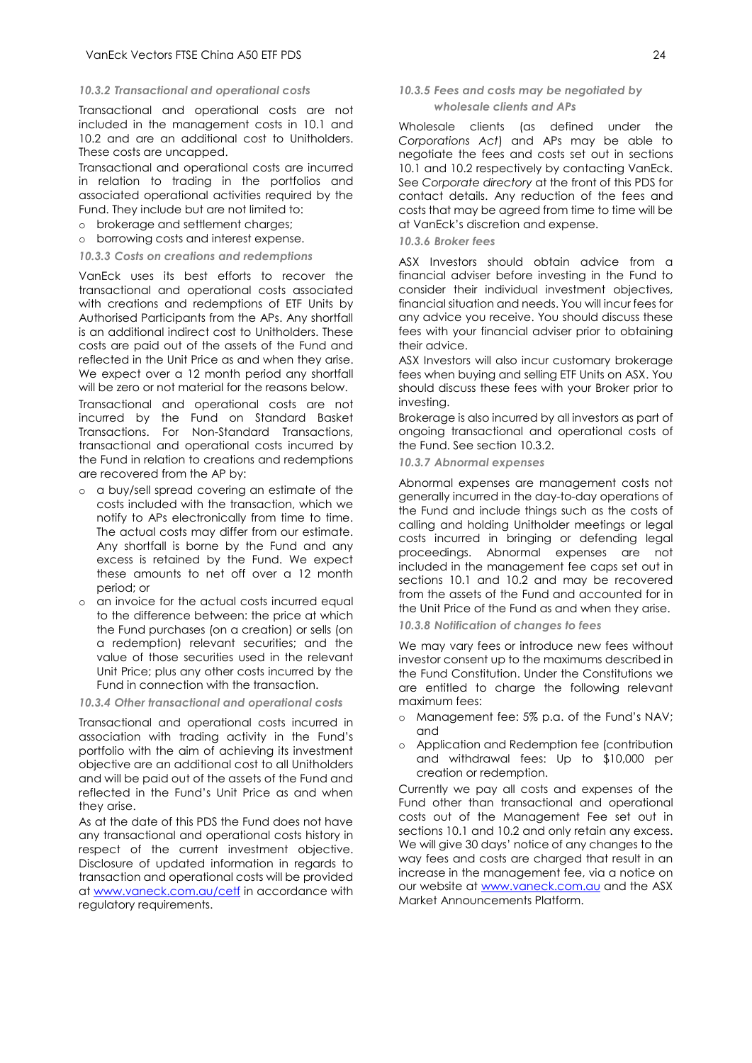#### *10.3.2 Transactional and operational costs*

Transactional and operational costs are not included in the management costs in 10.1 and 10.2 and are an additional cost to Unitholders. These costs are uncapped.

Transactional and operational costs are incurred in relation to trading in the portfolios and associated operational activities required by the Fund. They include but are not limited to:

- o brokerage and settlement charges;
- o borrowing costs and interest expense.

#### *10.3.3 Costs on creations and redemptions*

VanEck uses its best efforts to recover the transactional and operational costs associated with creations and redemptions of ETF Units by Authorised Participants from the APs. Any shortfall is an additional indirect cost to Unitholders. These costs are paid out of the assets of the Fund and reflected in the Unit Price as and when they arise. We expect over a 12 month period any shortfall will be zero or not material for the reasons below.

Transactional and operational costs are not incurred by the Fund on Standard Basket Transactions. For Non-Standard Transactions, transactional and operational costs incurred by the Fund in relation to creations and redemptions are recovered from the AP by:

- o a buy/sell spread covering an estimate of the costs included with the transaction, which we notify to APs electronically from time to time. The actual costs may differ from our estimate. Any shortfall is borne by the Fund and any excess is retained by the Fund. We expect these amounts to net off over a 12 month period; or
- an invoice for the actual costs incurred equal to the difference between: the price at which the Fund purchases (on a creation) or sells (on a redemption) relevant securities; and the value of those securities used in the relevant Unit Price; plus any other costs incurred by the Fund in connection with the transaction.

#### *10.3.4 Other transactional and operational costs*

Transactional and operational costs incurred in association with trading activity in the Fund's portfolio with the aim of achieving its investment objective are an additional cost to all Unitholders and will be paid out of the assets of the Fund and reflected in the Fund's Unit Price as and when they arise.

As at the date of this PDS the Fund does not have any transactional and operational costs history in respect of the current investment objective. Disclosure of updated information in regards to transaction and operational costs will be provided at [www.vaneck.com.au/cetf](http://www.vaneck.com.au/cetf) in accordance with regulatory requirements.

#### *10.3.5 Fees and costs may be negotiated by wholesale clients and APs*

Wholesale clients (as defined under the *Corporations Act*) and APs may be able to negotiate the fees and costs set out in sections 10.1 and 10.2 respectively by contacting VanEck. See *Corporate directory* at the front of this PDS for contact details. Any reduction of the fees and costs that may be agreed from time to time will be at VanEck's discretion and expense.

#### *10.3.6 Broker fees*

ASX Investors should obtain advice from a financial adviser before investing in the Fund to consider their individual investment objectives, financial situation and needs. You will incur fees for any advice you receive. You should discuss these fees with your financial adviser prior to obtaining their advice.

ASX Investors will also incur customary brokerage fees when buying and selling ETF Units on ASX. You should discuss these fees with your Broker prior to investing.

Brokerage is also incurred by all investors as part of ongoing transactional and operational costs of the Fund. See section 10.3.2.

*10.3.7 Abnormal expenses*

Abnormal expenses are management costs not generally incurred in the day-to-day operations of the Fund and include things such as the costs of calling and holding Unitholder meetings or legal costs incurred in bringing or defending legal proceedings. Abnormal expenses are not included in the management fee caps set out in sections 10.1 and 10.2 and may be recovered from the assets of the Fund and accounted for in the Unit Price of the Fund as and when they arise.

*10.3.8 Notification of changes to fees*

We may vary fees or introduce new fees without investor consent up to the maximums described in the Fund Constitution. Under the Constitutions we are entitled to charge the following relevant maximum fees:

- o Management fee: 5% p.a. of the Fund's NAV; and
- o Application and Redemption fee (contribution and withdrawal fees: Up to \$10,000 per creation or redemption.

Currently we pay all costs and expenses of the Fund other than transactional and operational costs out of the Management Fee set out in sections 10.1 and 10.2 and only retain any excess. We will give 30 days' notice of any changes to the way fees and costs are charged that result in an increase in the management fee, via a notice on our website at [www.vaneck.com.au](http://www.vaneck.com.au/) and the ASX Market Announcements Platform.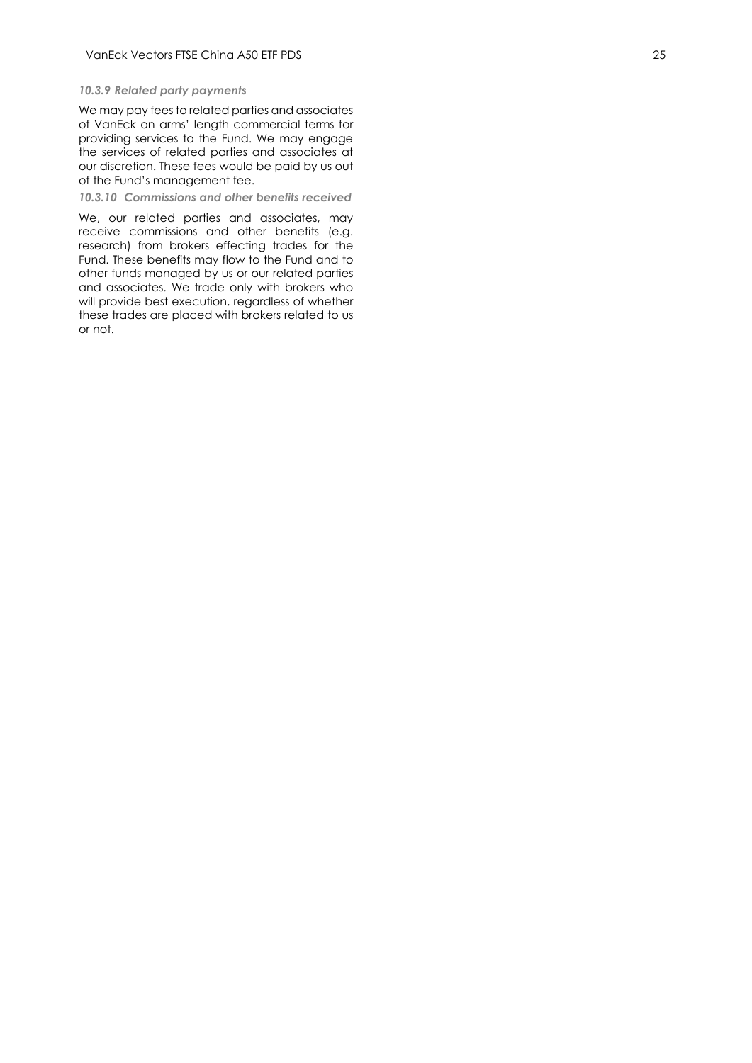#### *10.3.9 Related party payments*

We may pay fees to related parties and associates of VanEck on arms' length commercial terms for providing services to the Fund. We may engage the services of related parties and associates at our discretion. These fees would be paid by us out of the Fund 's management fee .

*10.3.10 Commissions and other benefits received*

We, our related parties and associates, may receive commissions and other benefits (e.g. research) from brokers effecting trades for the Fund. These benefits may flow to the Fund and to other funds managed by us or our related parties and associates. We trade only with brokers who will provide best execution, regardless of whether these trades are placed with brokers related to us or not .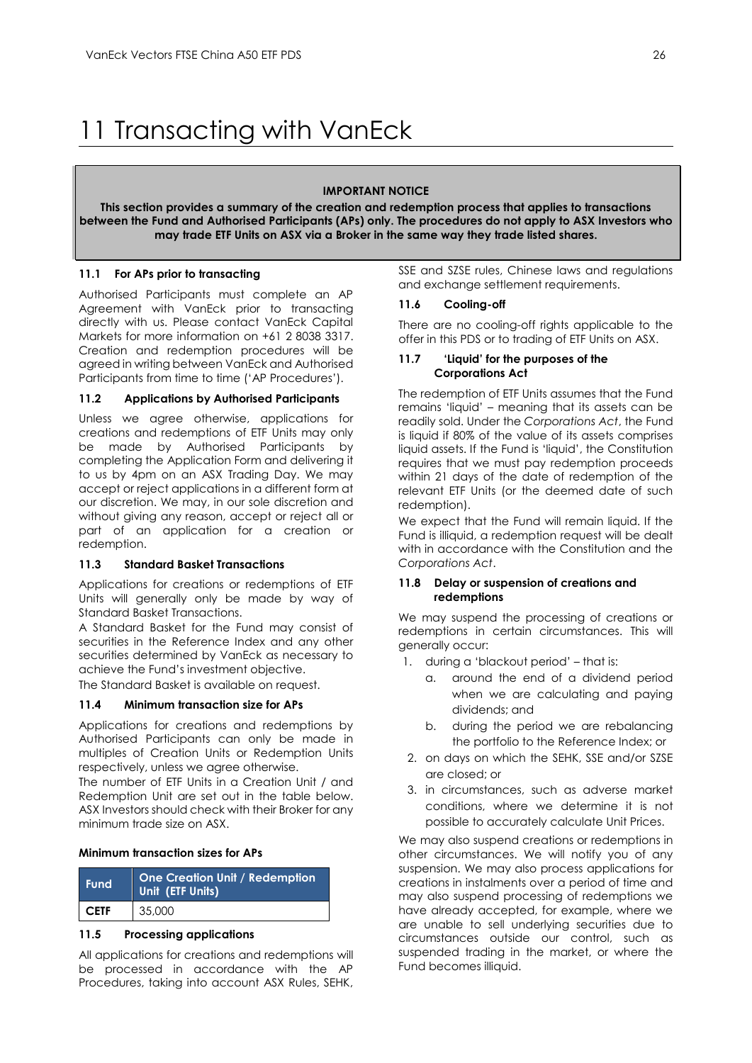# <span id="page-26-0"></span>11 Transacting with VanEck

#### **IMPORTANT NOTICE**

**This section provides a summary of the creation and redemption process that applies to transactions between the Fund and Authorised Participants (APs) only. The procedures do not apply to ASX Investors who may trade ETF Units on ASX via a Broker in the same way they trade listed shares.**

## **11.1 For APs prior to transacting**

Authorised Participants must complete an AP Agreement with VanEck prior to transacting directly with us. Please contact VanEck Capital Markets for more information on +61 2 8038 3317. Creation and redemption procedures will be agreed in writing between VanEck and Authorised Participants from time to time ('AP Procedures').

#### **11.2 Applications by Authorised Participants**

Unless we agree otherwise, applications for creations and redemptions of ETF Units may only be made by Authorised Participants by completing the Application Form and delivering it to us by 4pm on an ASX Trading Day. We may accept or reject applications in a different form at our discretion. We may, in our sole discretion and without giving any reason, accept or reject all or part of an application for a creation or redemption.

### **11.3 Standard Basket Transactions**

Applications for creations or redemptions of ETF Units will generally only be made by way of Standard Basket Transactions.

A Standard Basket for the Fund may consist of securities in the Reference Index and any other securities determined by VanEck as necessary to achieve the Fund's investment objective.

The Standard Basket is available on request.

#### **11.4 Minimum transaction size for APs**

Applications for creations and redemptions by Authorised Participants can only be made in multiples of Creation Units or Redemption Units respectively, unless we agree otherwise.

The number of ETF Units in a Creation Unit / and Redemption Unit are set out in the table below. ASX Investors should check with their Broker for any minimum trade size on ASX.

#### **Minimum transaction sizes for APs**

| <b>Fund</b> | <b>One Creation Unit / Redemption</b><br>Unit (ETF Units) |
|-------------|-----------------------------------------------------------|
| <b>CETF</b> | 35,000                                                    |

#### **11.5 Processing applications**

All applications for creations and redemptions will be processed in accordance with the AP Procedures, taking into account ASX Rules, SEHK,

SSE and SZSE rules, Chinese laws and regulations and exchange settlement requirements.

#### **11.6 Cooling-off**

There are no cooling-off rights applicable to the offer in this PDS or to trading of ETF Units on ASX.

#### **11.7 'Liquid' for the purposes of the Corporations Act**

The redemption of ETF Units assumes that the Fund remains 'liquid' – meaning that its assets can be readily sold. Under the *Corporations Act*, the Fund is liquid if 80% of the value of its assets comprises liquid assets. If the Fund is 'liquid', the Constitution requires that we must pay redemption proceeds within 21 days of the date of redemption of the relevant ETF Units (or the deemed date of such redemption).

We expect that the Fund will remain liquid. If the Fund is illiquid, a redemption request will be dealt with in accordance with the Constitution and the *Corporations Act*.

#### **11.8 Delay or suspension of creations and redemptions**

We may suspend the processing of creations or redemptions in certain circumstances. This will generally occur:

- 1. during a 'blackout period' that is:
	- a. around the end of a dividend period when we are calculating and paying dividends; and
	- b. during the period we are rebalancing the portfolio to the Reference Index; or
- 2. on days on which the SEHK, SSE and/or SZSE are closed; or
- 3. in circumstances, such as adverse market conditions, where we determine it is not possible to accurately calculate Unit Prices.

We may also suspend creations or redemptions in other circumstances. We will notify you of any suspension. We may also process applications for creations in instalments over a period of time and may also suspend processing of redemptions we have already accepted, for example, where we are unable to sell underlying securities due to circumstances outside our control, such as suspended trading in the market, or where the Fund becomes illiquid.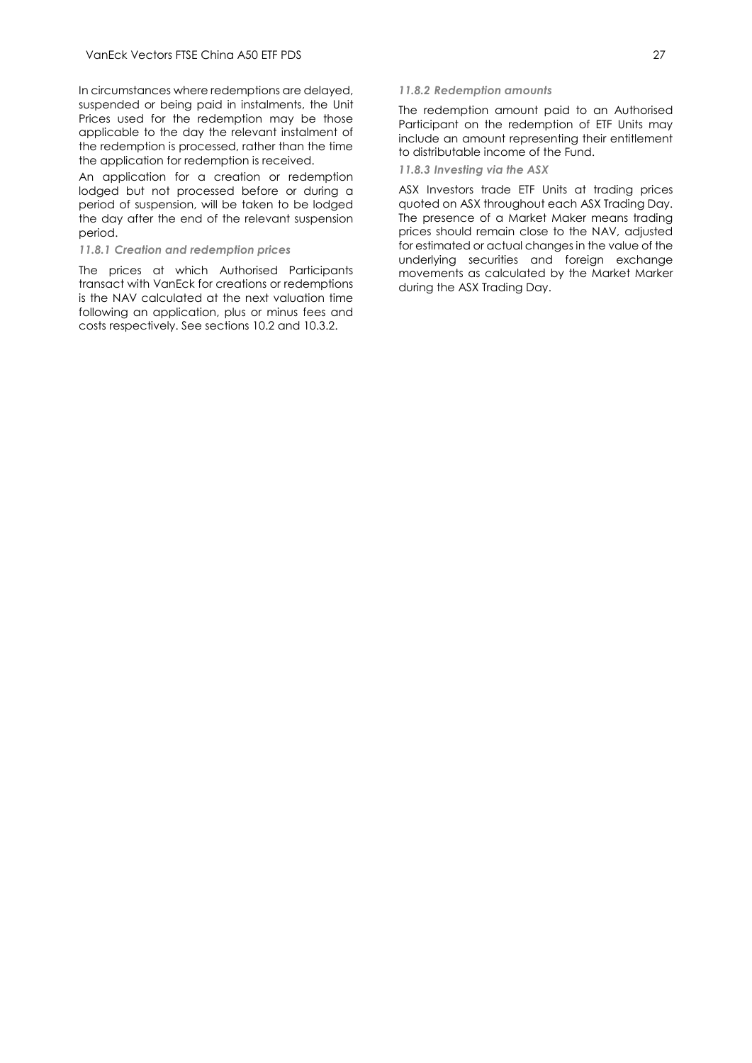In circumstances where redemptions are delayed, suspended or being paid in instalments, the Unit Prices used for the redemption may be those applicable to the day the relevant instalment of the redemption is processed, rather than the time the application for redemption is received.

An application for a creation or redemption lodged but not processed before or during a period of suspension, will be taken to be lodged the day after the end of the relevant suspension period.

#### *11.8.1 Creation and redemption prices*

The prices at which Authorised Participants transact with VanEck for creations or redemptions is the NAV calculated at the next valuation time following an application, plus or minus fees and costs respectively. See sections 10.2 and 10.3.2.

#### *11.8.2 Redemption amounts*

The redemption amount paid to an Authorised Participant on the redemption of ETF Units may include an amount representing their entitlement to distributable income of the Fund.

#### *11.8.3 Investing via the ASX*

ASX Investors trade ETF Units at trading prices quoted on ASX throughout each ASX Trading Day. The presence of a Market Maker means trading prices should remain close to the NAV, adjusted for estimated or actual changes in the value of the underlying securities and foreign exchange movements as calculated by the Market Marker during the ASX Trading Day.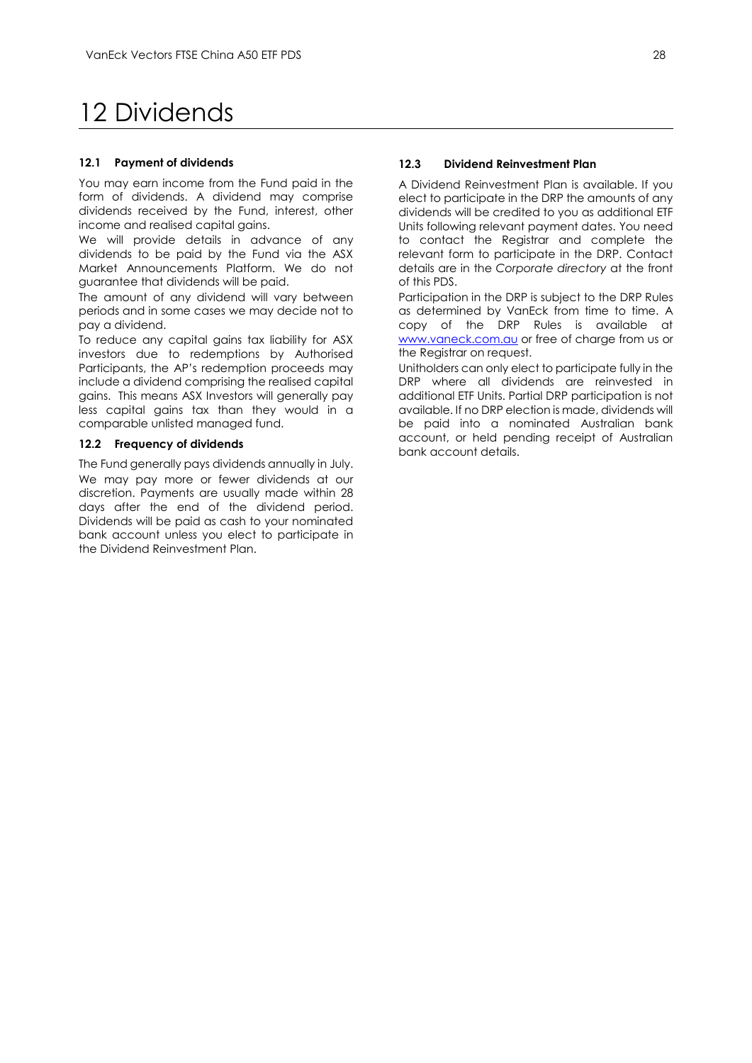# <span id="page-28-0"></span>12 Dividends

#### **12.1 Payment of dividends**

You may earn income from the Fund paid in the form of dividends. A dividend may comprise dividends received by the Fund, interest, other income and realised capital gains.

We will provide details in advance of any dividends to be paid by the Fund via the ASX Market Announcements Platform. We do not guarantee that dividends will be paid.

The amount of any dividend will vary between periods and in some cases we may decide not to pay a dividend.

To reduce any capital gains tax liability for ASX investors due to redemptions by Authorised Participants, the AP's redemption proceeds may include a dividend comprising the realised capital gains. This means ASX Investors will generally pay less capital gains tax than they would in a comparable unlisted managed fund.

#### **12.2 Frequency of dividends**

The Fund generally pays dividends annually in July. We may pay more or fewer dividends at our discretion. Payments are usually made within 28 days after the end of the dividend period. Dividends will be paid as cash to your nominated bank account unless you elect to participate in the Dividend Reinvestment Plan.

### **12.3 Dividend Reinvestment Plan**

A Dividend Reinvestment Plan is available. If you elect to participate in the DRP the amounts of any dividends will be credited to you as additional ETF Units following relevant payment dates. You need to contact the Registrar and complete the relevant form to participate in the DRP. Contact details are in the *Corporate directory* at the front of this PDS.

Participation in the DRP is subject to the DRP Rules as determined by VanEck from time to time. A copy of the DRP Rules is available at [www.vaneck.com.au](http://www.vaneck.com.au/) or free of charge from us or the Registrar on request.

Unitholders can only elect to participate fully in the DRP where all dividends are reinvested in additional ETF Units. Partial DRP participation is not available. If no DRP election is made, dividends will be paid into a nominated Australian bank account, or held pending receipt of Australian bank account details.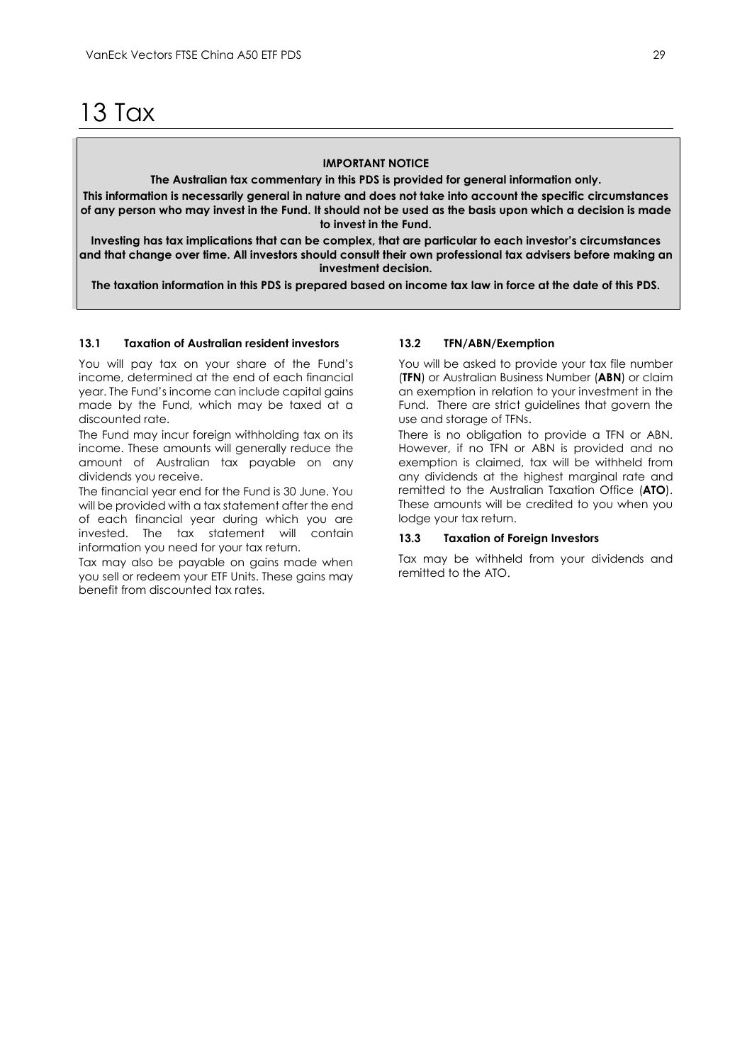<span id="page-29-0"></span>13 Tax

#### **IMPORTANT NOTICE**

**The Australian tax commentary in this PDS is provided for general information only.**

**This information is necessarily general in nature and does not take into account the specific circumstances of any person who may invest in the Fund. It should not be used as the basis upon which a decision is made to invest in the Fund.**

**Investing has tax implications that can be complex, that are particular to each investor's circumstances and that change over time. All investors should consult their own professional tax advisers before making an investment decision.**

**The taxation information in this PDS is prepared based on income tax law in force at the date of this PDS.**

#### **13.1 Taxation of Australian resident investors**

You will pay tax on your share of the Fund's income, determined at the end of each financial year. The Fund's income can include capital gains made by the Fund, which may be taxed at a discounted rate.

The Fund may incur foreign withholding tax on its income. These amounts will generally reduce the amount of Australian tax payable on any dividends you receive.

The financial year end for the Fund is 30 June. You will be provided with a tax statement after the end of each financial year during which you are invested. The tax statement will contain information you need for your tax return.

Tax may also be payable on gains made when you sell or redeem your ETF Units. These gains may benefit from discounted tax rates.

#### **13.2 TFN/ABN/Exemption**

You will be asked to provide your tax file number (**TFN**) or Australian Business Number (**ABN**) or claim an exemption in relation to your investment in the Fund. There are strict guidelines that govern the use and storage of TFNs.

There is no obligation to provide a TFN or ABN. However, if no TFN or ABN is provided and no exemption is claimed, tax will be withheld from any dividends at the highest marginal rate and remitted to the Australian Taxation Office (**ATO**). These amounts will be credited to you when you lodge your tax return.

#### **13.3 Taxation of Foreign Investors**

Tax may be withheld from your dividends and remitted to the ATO.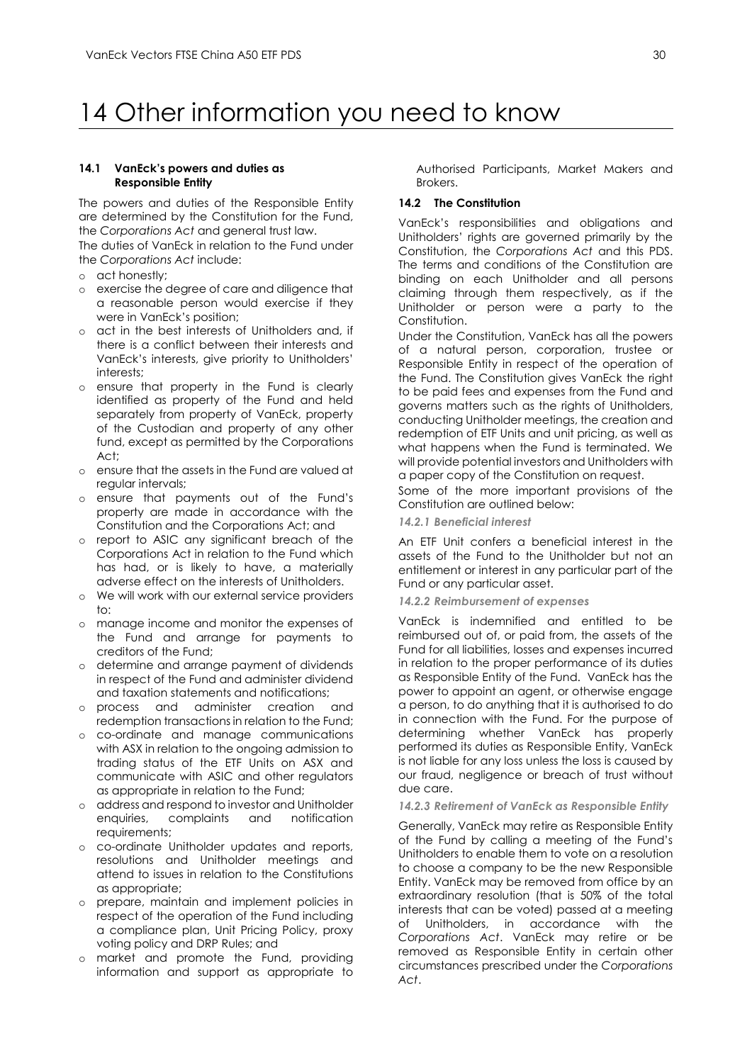# <span id="page-30-0"></span>14 Other information you need to know

#### **14.1 VanEck's powers and duties as Responsible Entity**

The powers and duties of the Responsible Entity are determined by the Constitution for the Fund, the *Corporations Act* and general trust law.

The duties of VanEck in relation to the Fund under the *Corporations Act* include:

- o act honestly;
- o exercise the degree of care and diligence that a reasonable [person](http://www.austlii.edu.au/au/legis/cth/consol_act/ca2001172/s761a.html#person?stem=0&synonyms=0&query=601FC) would exercise if they were in VanEck's position;
- o act in the best interests of Unitholders and, if there is a conflict between their interests and VanEck's interests, give priority to Unitholders' interests;
- o ensure that property in the Fund is clearly identified as property of the Fund and held separately from property of VanEck, property of the Custodian and property of any other fund, except as permitted by the Corporations  $A \cap$ <sup>+</sup>
- o ensure that the assets in the Fund are valued at regular intervals;
- o ensure that payments out of the Fund's property are made in accordance with the Constitution and the Corporations Act; and
- o report to ASIC any significant breach of the Corporations Act in relation to the Fund which has had, or is likely to have, a materially adverse effect on the interests of Unitholders.
- o We will work with our external service providers  $t^{\circ}$
- o manage income and monitor the expenses of the Fund and arrange for payments to creditors of the Fund;
- o determine and arrange payment of dividends in respect of the Fund and administer dividend and taxation statements and notifications;
- o process and administer creation and redemption transactions in relation to the Fund;
- o co-ordinate and manage communications with ASX in relation to the ongoing admission to trading status of the ETF Units on ASX and communicate with ASIC and other regulators as appropriate in relation to the Fund;
- o address and respond to investor and Unitholder complaints requirements;
- o co-ordinate Unitholder updates and reports, resolutions and Unitholder meetings and attend to issues in relation to the Constitutions as appropriate;
- o prepare, maintain and implement policies in respect of the operation of the Fund including a compliance plan, Unit Pricing Policy, proxy voting policy and DRP Rules; and
- o market and promote the Fund, providing information and support as appropriate to

Authorised Participants, Market Makers and Brokers.

# **14.2 The Constitution**

VanEck's responsibilities and obligations and Unitholders' rights are governed primarily by the Constitution, the *Corporations Act* and this PDS. The terms and conditions of the Constitution are binding on each Unitholder and all persons claiming through them respectively, as if the Unitholder or person were a party to the Constitution.

Under the Constitution, VanEck has all the powers of a natural person, corporation, trustee or Responsible Entity in respect of the operation of the Fund. The Constitution gives VanEck the right to be paid fees and expenses from the Fund and governs matters such as the rights of Unitholders, conducting Unitholder meetings, the creation and redemption of ETF Units and unit pricing, as well as what happens when the Fund is terminated. We will provide potential investors and Unitholders with a paper copy of the Constitution on request.

Some of the more important provisions of the Constitution are outlined below:

# *14.2.1 Beneficial interest*

An ETF Unit confers a beneficial interest in the assets of the Fund to the Unitholder but not an entitlement or interest in any particular part of the Fund or any particular asset.

#### *14.2.2 Reimbursement of expenses*

VanEck is indemnified and entitled to be reimbursed out of, or paid from, the assets of the Fund for all liabilities, losses and expenses incurred in relation to the proper performance of its duties as Responsible Entity of the Fund. VanEck has the power to appoint an agent, or otherwise engage a person, to do anything that it is authorised to do in connection with the Fund. For the purpose of determining whether VanEck has properly performed its duties as Responsible Entity, VanEck is not liable for any loss unless the loss is caused by our fraud, negligence or breach of trust without due care.

# *14.2.3 Retirement of VanEck as Responsible Entity*

Generally, VanEck may retire as Responsible Entity of the Fund by calling a meeting of the Fund's Unitholders to enable them to vote on a resolution to choose a company to be the new Responsible Entity. VanEck may be removed from office by an extraordinary resolution (that is 50% of the total interests that can be voted) passed at a meeting of Unitholders, in accordance with the *Corporations Act*. VanEck may retire or be removed as Responsible Entity in certain other circumstances prescribed under the *Corporations Act*.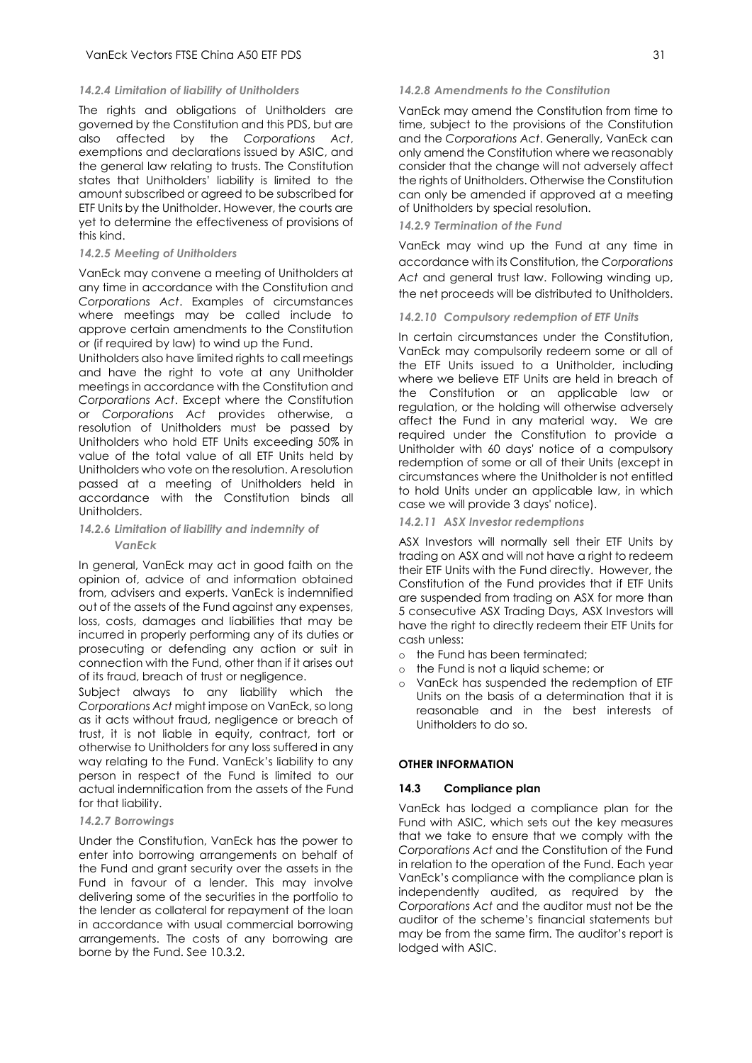#### *14.2.4 Limitation of liability of Unitholders*

The rights and obligations of Unitholders are governed by the Constitution and this PDS, but are also affected by the *Corporations Act*, exemptions and declarations issued by ASIC, and the general law relating to trusts. The Constitution states that Unitholders' liability is limited to the amount subscribed or agreed to be subscribed for ETF Units by the Unitholder. However, the courts are yet to determine the effectiveness of provisions of this kind.

#### *14.2.5 Meeting of Unitholders*

VanEck may convene a meeting of Unitholders at any time in accordance with the Constitution and *Corporations Act*. Examples of circumstances where meetings may be called include to approve certain amendments to the Constitution or (if required by law) to wind up the Fund.

Unitholders also have limited rights to call meetings and have the right to vote at any Unitholder meetings in accordance with the Constitution and *Corporations Act*. Except where the Constitution or *Corporations Act* provides otherwise, a resolution of Unitholders must be passed by Unitholders who hold ETF Units exceeding 50% in value of the total value of all ETF Units held by Unitholders who vote on the resolution. A resolution passed at a meeting of Unitholders held in accordance with the Constitution binds all Unitholders.

#### *14.2.6 Limitation of liability and indemnity of VanEck*

In general, VanEck may act in good faith on the opinion of, advice of and information obtained from, advisers and experts. VanEck is indemnified out of the assets of the Fund against any expenses, loss, costs, damages and liabilities that may be incurred in properly performing any of its duties or prosecuting or defending any action or suit in connection with the Fund, other than if it arises out of its fraud, breach of trust or negligence.

Subject always to any liability which the *Corporations Act* might impose on VanEck, so long as it acts without fraud, negligence or breach of trust, it is not liable in equity, contract, tort or otherwise to Unitholders for any loss suffered in any way relating to the Fund. VanEck's liability to any person in respect of the Fund is limited to our actual indemnification from the assets of the Fund for that liability.

#### *14.2.7 Borrowings*

Under the Constitution, VanEck has the power to enter into borrowing arrangements on behalf of the Fund and grant security over the assets in the Fund in favour of a lender. This may involve delivering some of the securities in the portfolio to the lender as collateral for repayment of the loan in accordance with usual commercial borrowing arrangements. The costs of any borrowing are borne by the Fund. See 10.3.2.

#### *14.2.8 Amendments to the Constitution*

VanEck may amend the Constitution from time to time, subject to the provisions of the Constitution and the *Corporations Act*. Generally, VanEck can only amend the Constitution where we reasonably consider that the change will not adversely affect the rights of Unitholders. Otherwise the Constitution can only be amended if approved at a meeting of Unitholders by special resolution.

#### *14.2.9 Termination of the Fund*

VanEck may wind up the Fund at any time in accordance with its Constitution, the *Corporations Act* and general trust law. Following winding up, the net proceeds will be distributed to Unitholders.

#### *14.2.10 Compulsory redemption of ETF Units*

In certain circumstances under the Constitution, VanEck may compulsorily redeem some or all of the ETF Units issued to a Unitholder, including where we believe ETF Units are held in breach of the Constitution or an applicable law or regulation, or the holding will otherwise adversely affect the Fund in any material way. We are required under the Constitution to provide a Unitholder with 60 days' notice of a compulsory redemption of some or all of their Units (except in circumstances where the Unitholder is not entitled to hold Units under an applicable law, in which case we will provide 3 days' notice).

#### *14.2.11 ASX Investor redemptions*

ASX Investors will normally sell their ETF Units by trading on ASX and will not have a right to redeem their ETF Units with the Fund directly. However, the Constitution of the Fund provides that if ETF Units are suspended from trading on ASX for more than 5 consecutive ASX Trading Days, ASX Investors will have the right to directly redeem their ETF Units for cash unless:

- o the Fund has been terminated;
- o the Fund is not a liquid scheme; or
- o VanEck has suspended the redemption of ETF Units on the basis of a determination that it is reasonable and in the best interests of Unitholders to do so.

#### **OTHER INFORMATION**

#### **14.3 Compliance plan**

VanEck has lodged a compliance plan for the Fund with ASIC, which sets out the key measures that we take to ensure that we comply with the *Corporations Act* and the Constitution of the Fund in relation to the operation of the Fund. Each year VanEck's compliance with the compliance plan is independently audited, as required by the *Corporations Act* and the auditor must not be the auditor of the scheme's financial statements but may be from the same firm. The auditor's report is lodged with ASIC.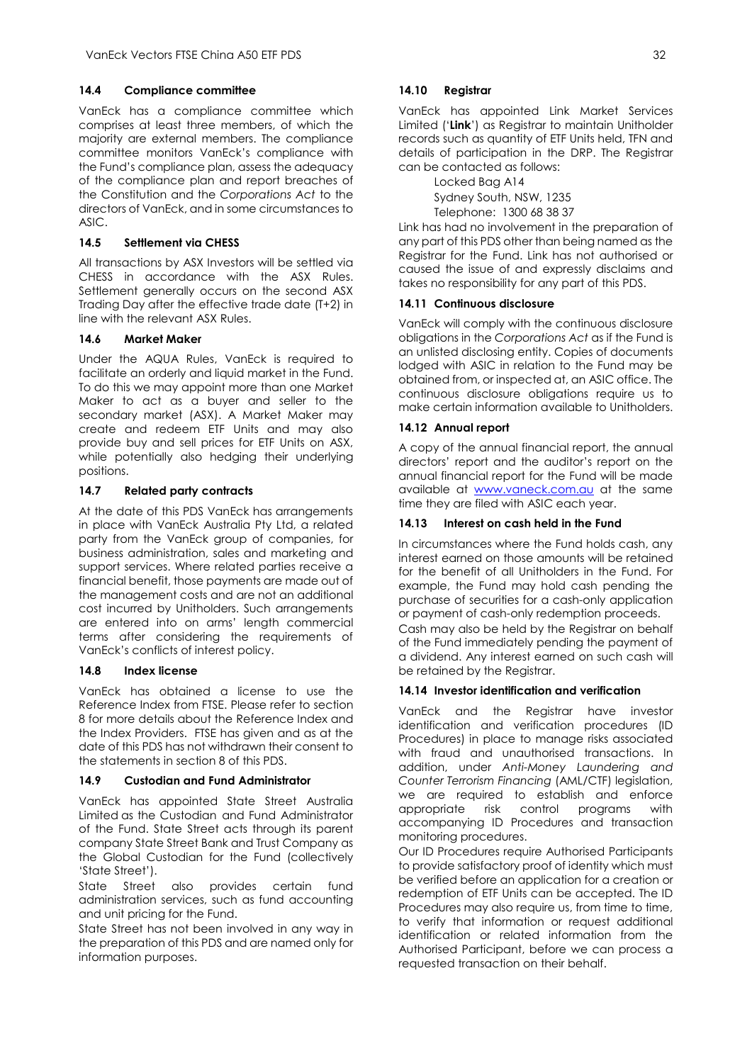# **14.4 Compliance committee**

VanEck has a compliance committee which comprises at least three members, of which the majority are external members. The compliance committee monitors VanEck's compliance with the Fund's compliance plan, assess the adequacy of the compliance plan and report breaches of the Constitution and the *Corporations Act* to the directors of VanEck, and in some circumstances to  $A$ SI $C$ .

# **14.5 Settlement via CHESS**

All transactions by ASX Investors will be settled via CHESS in accordance with the ASX Rules. Settlement generally occurs on the second ASX Trading Day after the effective trade date (T+2) in line with the relevant ASX Rules.

### **14.6 Market Maker**

Under the AQUA Rules, VanEck is required to facilitate an orderly and liquid market in the Fund. To do this we may appoint more than one Market Maker to act as a buyer and seller to the secondary market (ASX). A Market Maker may create and redeem ETF Units and may also provide buy and sell prices for ETF Units on ASX, while potentially also hedging their underlying positions.

# **14.7 Related party contracts**

At the date of this PDS VanEck has arrangements in place with VanEck Australia Pty Ltd, a related party from the VanEck group of companies, for business administration, sales and marketing and support services. Where related parties receive a financial benefit, those payments are made out of the management costs and are not an additional cost incurred by Unitholders. Such arrangements are entered into on arms' length commercial terms after considering the requirements of VanEck's conflicts of interest policy.

### **14.8 Index license**

VanEck has obtained a license to use the Reference Index from FTSE. Please refer to section 8 for more details about the Reference Index and the Index Providers. FTSE has given and as at the date of this PDS has not withdrawn their consent to the statements in section 8 of this PDS.

### **14.9 Custodian and Fund Administrator**

VanEck has appointed State Street Australia Limited as the Custodian and Fund Administrator of the Fund. State Street acts through its parent company State Street Bank and Trust Company as the Global Custodian for the Fund (collectively 'State Street').

State Street also provides certain fund administration services, such as fund accounting and unit pricing for the Fund.

State Street has not been involved in any way in the preparation of this PDS and are named only for information purposes.

# **14.10 Registrar**

VanEck has appointed Link Market Services Limited ('**Link**') as Registrar to maintain Unitholder records such as quantity of ETF Units held, TFN and details of participation in the DRP. The Registrar can be contacted as follows:

> Locked Bag A14 Sydney South, NSW, 1235 Telephone: 1300 68 38 37

Link has had no involvement in the preparation of any part of this PDS other than being named as the Registrar for the Fund. Link has not authorised or caused the issue of and expressly disclaims and takes no responsibility for any part of this PDS.

### **14.11 Continuous disclosure**

VanEck will comply with the continuous disclosure obligations in the *Corporations Act* as if the Fund is an unlisted disclosing entity. Copies of documents lodged with ASIC in relation to the Fund may be obtained from, or inspected at, an ASIC office. The continuous disclosure obligations require us to make certain information available to Unitholders.

# **14.12 Annual report**

A copy of the annual financial report, the annual directors' report and the auditor's report on the annual financial report for the Fund will be made available at [www.vaneck.com.au](http://www.vaneck.com.au/) at the same time they are filed with ASIC each year.

# **14.13 Interest on cash held in the Fund**

In circumstances where the Fund holds cash, any interest earned on those amounts will be retained for the benefit of all Unitholders in the Fund. For example, the Fund may hold cash pending the purchase of securities for a cash-only application or payment of cash-only redemption proceeds.

Cash may also be held by the Registrar on behalf of the Fund immediately pending the payment of a dividend. Any interest earned on such cash will be retained by the Registrar.

### **14.14 Investor identification and verification**

VanEck and the Registrar have investor identification and verification procedures (ID Procedures) in place to manage risks associated with fraud and unauthorised transactions. In addition, under *Anti-Money Laundering and Counter Terrorism Financing* (AML/CTF) legislation, we are required to establish and enforce appropriate risk control programs with accompanying ID Procedures and transaction monitoring procedures.

Our ID Procedures require Authorised Participants to provide satisfactory proof of identity which must be verified before an application for a creation or redemption of ETF Units can be accepted. The ID Procedures may also require us, from time to time, to verify that information or request additional identification or related information from the Authorised Participant, before we can process a requested transaction on their behalf.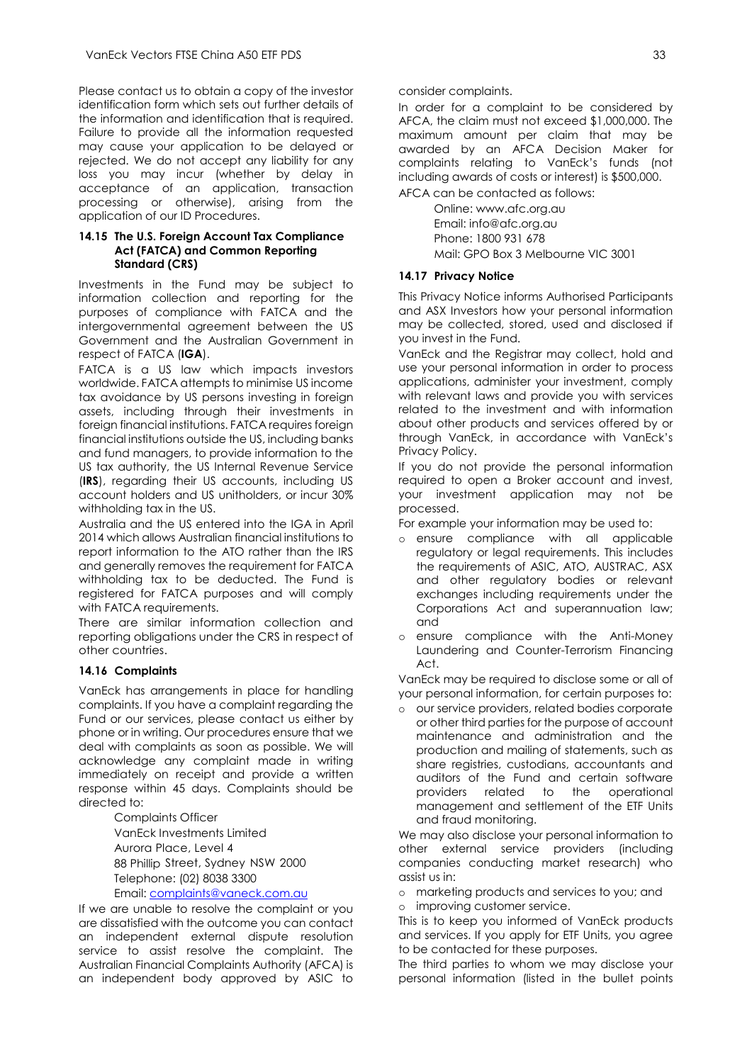Please contact us to obtain a copy of the investor identification form which sets out further details of the information and identification that is required. Failure to provide all the information requested may cause your application to be delayed or rejected. We do not accept any liability for any loss you may incur (whether by delay in acceptance of an application, transaction processing or otherwise), arising from the application of our ID Procedures.

#### **14.15 The U.S. Foreign Account Tax Compliance Act (FATCA) and Common Reporting Standard (CRS)**

Investments in the Fund may be subject to information collection and reporting for the purposes of compliance with FATCA and the intergovernmental agreement between the US Government and the Australian Government in respect of FATCA (**IGA**).

FATCA is a US law which impacts investors worldwide. FATCA attempts to minimise US income tax avoidance by US persons investing in foreign assets, including through their investments in foreign financial institutions. FATCA requires foreign financial institutions outside the US, including banks and fund managers, to provide information to the US tax authority, the US Internal Revenue Service (**IRS**), regarding their US accounts, including US account holders and US unitholders, or incur 30% withholding tax in the US.

Australia and the US entered into the IGA in April 2014 which allows Australian financial institutions to report information to the ATO rather than the IRS and generally removes the requirement for FATCA withholding tax to be deducted. The Fund is registered for FATCA purposes and will comply with FATCA requirements.

There are similar information collection and reporting obligations under the CRS in respect of other countries.

#### **14.16 Complaints**

VanEck has arrangements in place for handling complaints. If you have a complaint regarding the Fund or our services, please contact us either by phone or in writing. Our procedures ensure that we deal with complaints as soon as possible. We will acknowledge any complaint made in writing immediately on receipt and provide a written response within 45 days. Complaints should be directed to:

> Complaints Officer VanEck Investments Limited Aurora Place, Level 4 88 Phillip Street, Sydney NSW 2000 Telephone: (02) 8038 3300

> Email[: complaints@vaneck.com.au](mailto:complaints@vaneck.com.au)

If we are unable to resolve the complaint or you are dissatisfied with the outcome you can contact an independent external dispute resolution service to assist resolve the complaint. The Australian Financial Complaints Authority (AFCA) is an independent body approved by ASIC to

consider complaints.

In order for a complaint to be considered by AFCA, the claim must not exceed \$1,000,000. The maximum amount per claim that may be awarded by an AFCA Decision Maker for complaints relating to VanEck's funds (not including awards of costs or interest) is \$500,000.

AFCA can be contacted as follows:

Online: www.afc.org.au Email: info@afc.org.au Phone: 1800 931 678 Mail: GPO Box 3 Melbourne VIC 3001

### **14.17 Privacy Notice**

This Privacy Notice informs Authorised Participants and ASX Investors how your personal information may be collected, stored, used and disclosed if you invest in the Fund.

VanEck and the Registrar may collect, hold and use your personal information in order to process applications, administer your investment, comply with relevant laws and provide you with services related to the investment and with information about other products and services offered by or through VanEck, in accordance with VanEck's Privacy Policy.

If you do not provide the personal information required to open a Broker account and invest, your investment application may not be processed.

For example your information may be used to:

- o ensure compliance with all applicable regulatory or legal requirements. This includes the requirements of ASIC, ATO, AUSTRAC, ASX and other regulatory bodies or relevant exchanges including requirements under the Corporations Act and superannuation law; and
- o ensure compliance with the Anti-Money Laundering and Counter-Terrorism Financing Act.

VanEck may be required to disclose some or all of your personal information, for certain purposes to:

o our service providers, related bodies corporate or other third parties for the purpose of account maintenance and administration and the production and mailing of statements, such as share registries, custodians, accountants and auditors of the Fund and certain software providers related to the operational management and settlement of the ETF Units and fraud monitoring.

We may also disclose your personal information to other external service providers (including companies conducting market research) who assist us in:

o marketing products and services to you; and o improving customer service.

This is to keep you informed of VanEck products and services. If you apply for ETF Units, you agree to be contacted for these purposes.

The third parties to whom we may disclose your personal information (listed in the bullet points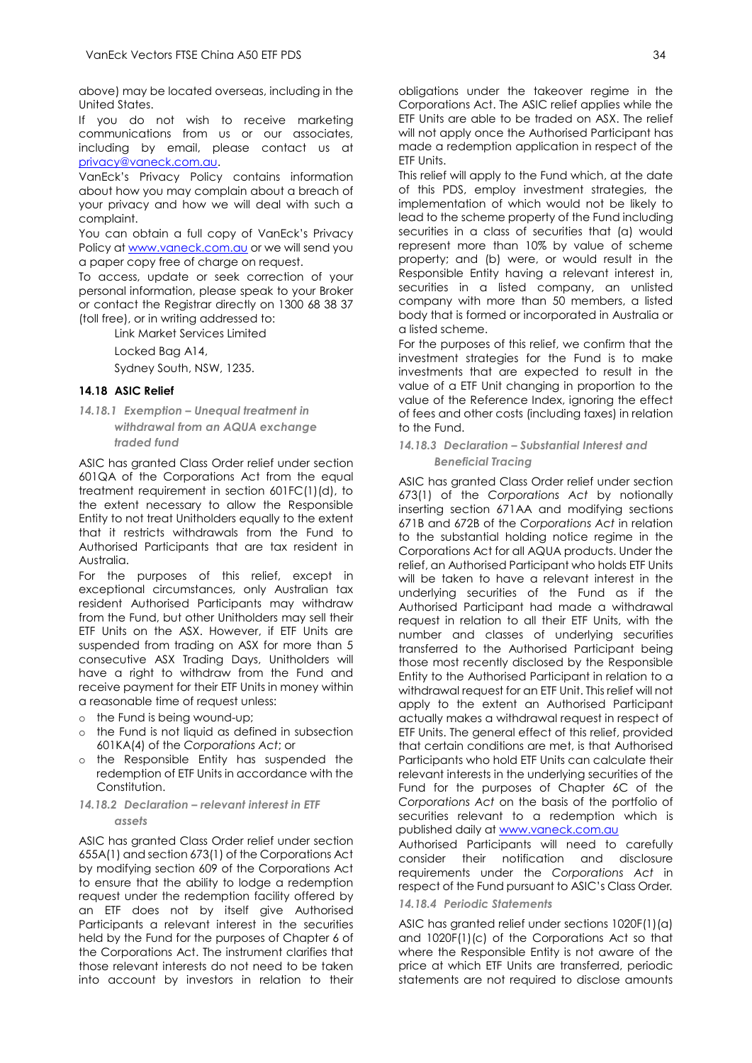above) may be located overseas, including in the United States.

If you do not wish to receive marketing communications from us or our associates, including by email, please contact us at [privacy@vaneck.com.au.](mailto:privacy@vaneck.com.au)

VanEck's Privacy Policy contains information about how you may complain about a breach of your privacy and how we will deal with such a complaint.

You can obtain a full copy of VanEck's Privacy Policy at [www.vaneck.com.au](http://www.vaneck.com.au/) or we will send you a paper copy free of charge on request.

To access, update or seek correction of your personal information, please speak to your Broker or contact the Registrar directly on 1300 68 38 37 (toll free), or in writing addressed to:

Link Market Services Limited

Locked Bag A14,

Sydney South, NSW, 1235.

#### **14.18 ASIC Relief**

*14.18.1 Exemption – Unequal treatment in withdrawal from an AQUA exchange traded fund*

ASIC has granted Class Order relief under section 601QA of the Corporations Act from the equal treatment requirement in section 601FC(1)(d), to the extent necessary to allow the Responsible Entity to not treat Unitholders equally to the extent that it restricts withdrawals from the Fund to Authorised Participants that are tax resident in Australia.

For the purposes of this relief, except in exceptional circumstances, only Australian tax resident Authorised Participants may withdraw from the Fund, but other Unitholders may sell their ETF Units on the ASX. However, if ETF Units are suspended from trading on ASX for more than 5 consecutive ASX Trading Days, Unitholders will have a right to withdraw from the Fund and receive payment for their ETF Units in money within a reasonable time of request unless:

- o the Fund is being wound-up;
- o the Fund is not liquid as defined in subsection 601KA(4) of the *Corporations Act*; or
- o the Responsible Entity has suspended the redemption of ETF Units in accordance with the Constitution.
- *14.18.2 Declaration – relevant interest in ETF assets*

ASIC has granted Class Order relief under section 655A(1) and section 673(1) of the Corporations Act by modifying section 609 of the Corporations Act to ensure that the ability to lodge a redemption request under the redemption facility offered by an ETF does not by itself give Authorised Participants a relevant interest in the securities held by the Fund for the purposes of Chapter 6 of the Corporations Act. The instrument clarifies that those relevant interests do not need to be taken into account by investors in relation to their

obligations under the takeover regime in the Corporations Act. The ASIC relief applies while the ETF Units are able to be traded on ASX. The relief will not apply once the Authorised Participant has made a redemption application in respect of the ETF Units.

This relief will apply to the Fund which, at the date of this PDS, employ investment strategies, the implementation of which would not be likely to lead to the scheme property of the Fund including securities in a class of securities that (a) would represent more than 10% by value of scheme property; and (b) were, or would result in the Responsible Entity having a relevant interest in, securities in a listed company, an unlisted company with more than 50 members, a listed body that is formed or incorporated in Australia or a listed scheme.

For the purposes of this relief, we confirm that the investment strategies for the Fund is to make investments that are expected to result in the value of a ETF Unit changing in proportion to the value of the Reference Index, ignoring the effect of fees and other costs (including taxes) in relation to the Fund.

#### *14.18.3 Declaration – Substantial Interest and Beneficial Tracing*

ASIC has granted Class Order relief under section 673(1) of the *Corporations Act* by notionally inserting section 671AA and modifying sections 671B and 672B of the *Corporations Act* in relation to the substantial holding notice regime in the Corporations Act for all AQUA products. Under the relief, an Authorised Participant who holds ETF Units will be taken to have a relevant interest in the underlying securities of the Fund as if the Authorised Participant had made a withdrawal request in relation to all their ETF Units, with the number and classes of underlying securities transferred to the Authorised Participant being those most recently disclosed by the Responsible Entity to the Authorised Participant in relation to a withdrawal request for an ETF Unit. This relief will not apply to the extent an Authorised Participant actually makes a withdrawal request in respect of ETF Units. The general effect of this relief, provided that certain conditions are met, is that Authorised Participants who hold ETF Units can calculate their relevant interests in the underlying securities of the Fund for the purposes of Chapter 6C of the *Corporations Act* on the basis of the portfolio of securities relevant to a redemption which is published daily at [www.vaneck.com.au](http://www.vaneck.com.au/)

Authorised Participants will need to carefully consider their notification and disclosure requirements under the *Corporations Act* in respect of the Fund pursuant to ASIC's Class Order*.*

#### *14.18.4 Periodic Statements*

ASIC has granted relief under sections 1020F(1)(a) and 1020F(1)(c) of the Corporations Act so that where the Responsible Entity is not aware of the price at which ETF Units are transferred, periodic statements are not required to disclose amounts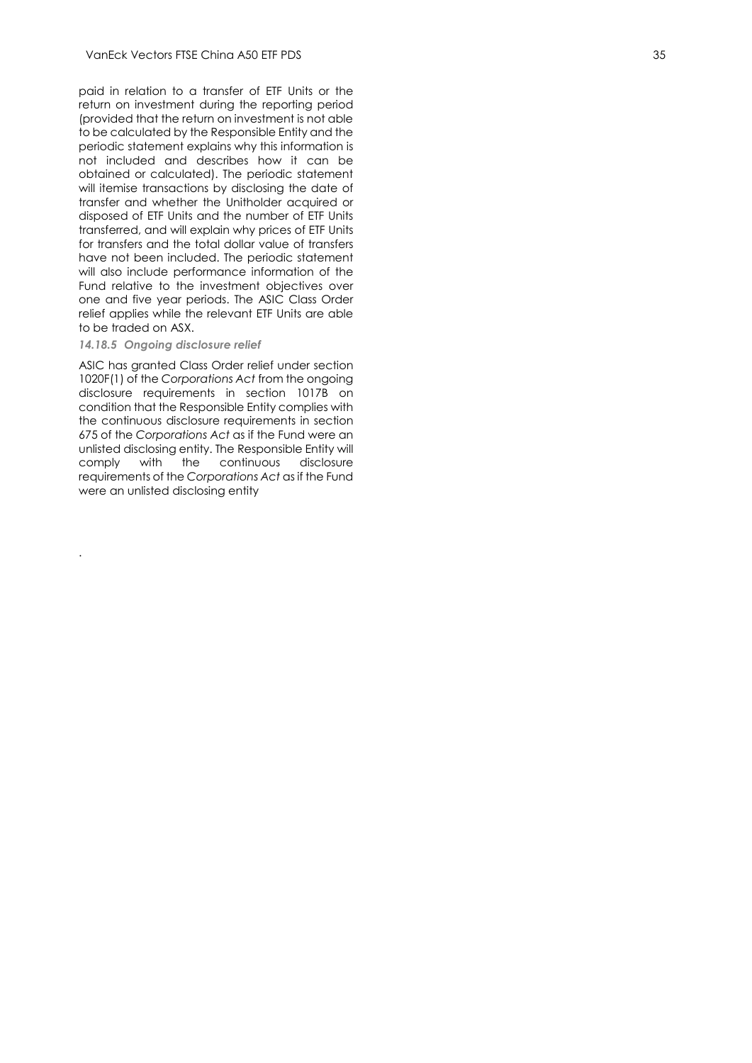paid in relation to a transfer of ETF Units or the return on investment during the reporting period (provided that the return on investment is not able to be calculated by the Responsible Entity and the periodic statement explains why this information is not included and describes how it can be obtained or calculated). The periodic statement will itemise transactions by disclosing the date of transfer and whether the Unitholder acquired or disposed of ETF Units and the number of ETF Units transferred, and will explain why prices of ETF Units for transfers and the total dollar value of transfers have not been included. The periodic statement will also include performance information of the Fund relative to the investment objectives over one and five year periods. The ASIC Class Order relief applies while the relevant ETF Units are able to be traded on ASX.

#### *14.18.5 Ongoing disclosure relief*

.

ASIC has granted Class Order relief under section 1020F(1) of the *Corporations Act* from the ongoing disclosure requirements in section 1017B on condition that the Responsible Entity complies with the continuous disclosure requirements in section 675 of the *Corporations Act* as if the Fund were an unlisted disclosing entity. The Responsible Entity will comply with the continuous disclosure requirements of the *Corporations Act* as if the Fund were an unlisted disclosing entity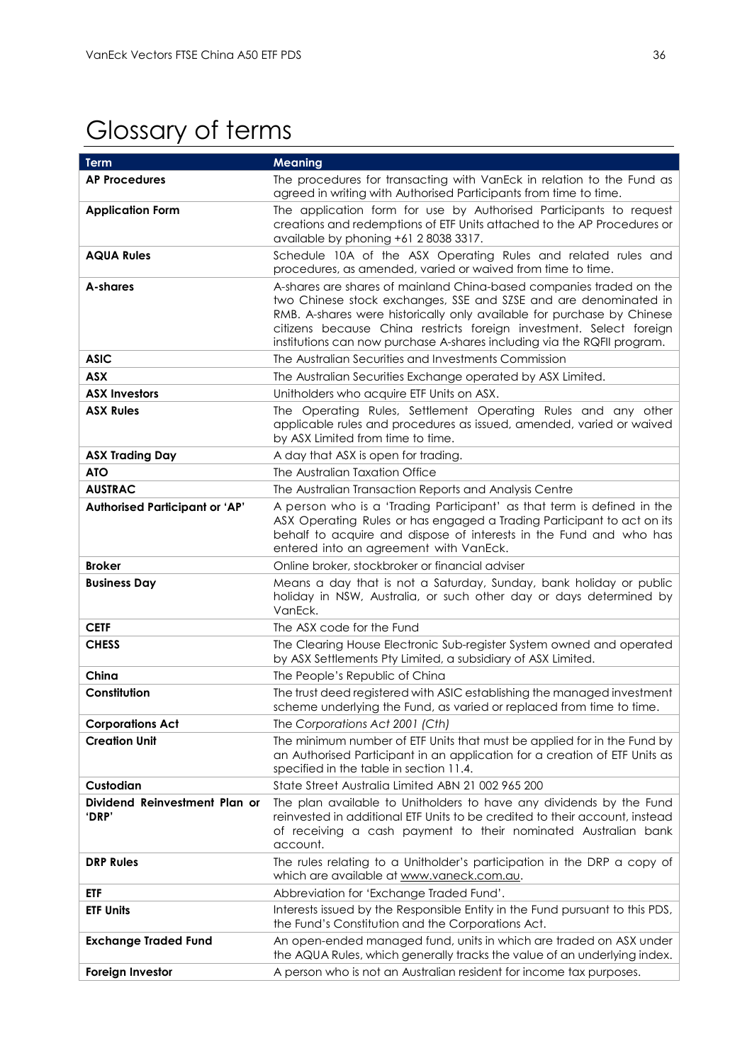# <span id="page-36-0"></span>Glossary of terms

| <b>Term</b>                            | <b>Meaning</b>                                                                                                                                                                                                                                                                                                                                                      |
|----------------------------------------|---------------------------------------------------------------------------------------------------------------------------------------------------------------------------------------------------------------------------------------------------------------------------------------------------------------------------------------------------------------------|
| <b>AP Procedures</b>                   | The procedures for transacting with VanEck in relation to the Fund as<br>agreed in writing with Authorised Participants from time to time.                                                                                                                                                                                                                          |
| <b>Application Form</b>                | The application form for use by Authorised Participants to request<br>creations and redemptions of ETF Units attached to the AP Procedures or<br>available by phoning +61 2 8038 3317.                                                                                                                                                                              |
| <b>AQUA Rules</b>                      | Schedule 10A of the ASX Operating Rules and related rules and<br>procedures, as amended, varied or waived from time to time.                                                                                                                                                                                                                                        |
| A-shares                               | A-shares are shares of mainland China-based companies traded on the<br>two Chinese stock exchanges, SSE and SZSE and are denominated in<br>RMB. A-shares were historically only available for purchase by Chinese<br>citizens because China restricts foreign investment. Select foreign<br>institutions can now purchase A-shares including via the RQFII program. |
| <b>ASIC</b>                            | The Australian Securities and Investments Commission                                                                                                                                                                                                                                                                                                                |
| <b>ASX</b>                             | The Australian Securities Exchange operated by ASX Limited.                                                                                                                                                                                                                                                                                                         |
| <b>ASX Investors</b>                   | Unitholders who acquire ETF Units on ASX.                                                                                                                                                                                                                                                                                                                           |
| <b>ASX Rules</b>                       | The Operating Rules, Settlement Operating Rules and any other<br>applicable rules and procedures as issued, amended, varied or waived<br>by ASX Limited from time to time.                                                                                                                                                                                          |
| <b>ASX Trading Day</b>                 | A day that ASX is open for trading.                                                                                                                                                                                                                                                                                                                                 |
| <b>ATO</b>                             | The Australian Taxation Office                                                                                                                                                                                                                                                                                                                                      |
| <b>AUSTRAC</b>                         | The Australian Transaction Reports and Analysis Centre                                                                                                                                                                                                                                                                                                              |
| <b>Authorised Participant or 'AP'</b>  | A person who is a 'Trading Participant' as that term is defined in the<br>ASX Operating Rules or has engaged a Trading Participant to act on its<br>behalf to acquire and dispose of interests in the Fund and who has<br>entered into an agreement with VanEck.                                                                                                    |
| <b>Broker</b>                          | Online broker, stockbroker or financial adviser                                                                                                                                                                                                                                                                                                                     |
| <b>Business Day</b>                    | Means a day that is not a Saturday, Sunday, bank holiday or public<br>holiday in NSW, Australia, or such other day or days determined by<br>VanEck.                                                                                                                                                                                                                 |
| <b>CETF</b>                            | The ASX code for the Fund                                                                                                                                                                                                                                                                                                                                           |
| <b>CHESS</b>                           | The Clearing House Electronic Sub-register System owned and operated<br>by ASX Settlements Pty Limited, a subsidiary of ASX Limited.                                                                                                                                                                                                                                |
| China                                  | The People's Republic of China                                                                                                                                                                                                                                                                                                                                      |
| Constitution                           | The trust deed registered with ASIC establishing the managed investment<br>scheme underlying the Fund, as varied or replaced from time to time.                                                                                                                                                                                                                     |
| <b>Corporations Act</b>                | The Corporations Act 2001 (Cth)                                                                                                                                                                                                                                                                                                                                     |
| <b>Creation Unit</b>                   | The minimum number of ETF Units that must be applied for in the Fund by<br>an Authorised Participant in an application for a creation of ETF Units as<br>specified in the table in section 11.4.                                                                                                                                                                    |
| Custodian                              | State Street Australia Limited ABN 21 002 965 200                                                                                                                                                                                                                                                                                                                   |
| Dividend Reinvestment Plan or<br>'DRP' | The plan available to Unitholders to have any dividends by the Fund<br>reinvested in additional ETF Units to be credited to their account, instead<br>of receiving a cash payment to their nominated Australian bank<br>account.                                                                                                                                    |
| <b>DRP Rules</b>                       | The rules relating to a Unitholder's participation in the DRP a copy of<br>which are available at www.vaneck.com.au.                                                                                                                                                                                                                                                |
| etf                                    | Abbreviation for 'Exchange Traded Fund'.                                                                                                                                                                                                                                                                                                                            |
| <b>ETF Units</b>                       | Interests issued by the Responsible Entity in the Fund pursuant to this PDS,<br>the Fund's Constitution and the Corporations Act.                                                                                                                                                                                                                                   |
| <b>Exchange Traded Fund</b>            | An open-ended managed fund, units in which are traded on ASX under<br>the AQUA Rules, which generally tracks the value of an underlying index.                                                                                                                                                                                                                      |
| Foreign Investor                       | A person who is not an Australian resident for income tax purposes.                                                                                                                                                                                                                                                                                                 |